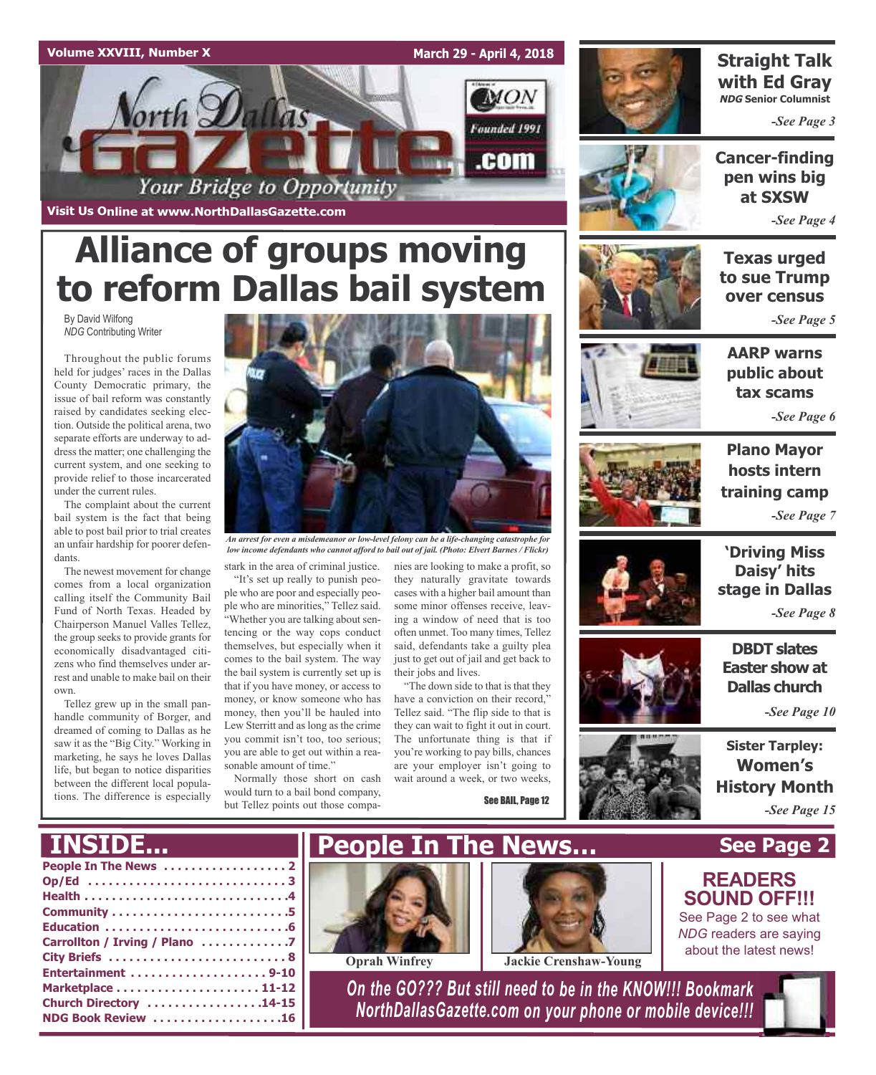#### **Volume XXVIII, Number X**

By David Wilfong *NDG* Contributing Writer

under the current rules.

dants.

own.

Throughout the public forums held for judges' races in the Dallas County Democratic primary, the issue of bail reform was constantly raised by candidates seeking election. Outside the political arena, two separate efforts are underway to address the matter; one challenging the current system, and one seeking to provide relief to those incarcerated

**Visit Us Online at www.NorthDallasGazette.com**

*lorth Dallas* 

The complaint about the current bail system is the fact that being able to post bail prior to trial creates an unfair hardship for poorer defen-

The newest movement for change comes from a local organization calling itself the Community Bail Fund of North Texas. Headed by Chairperson Manuel Valles Tellez, the group seeks to provide grants for economically disadvantaged citizens who find themselves under arrest and unable to make bail on their

Tellez grew up in the small panhandle community of Borger, and dreamed of coming to Dallas as he saw it as the "Big City." Working in marketing, he says he loves Dallas life, but began to notice disparities between the different local populations. The difference is especially

**March 29 - April 4, 2018**

 $MON$ 

Founded 1991

.com



### **Straight Talk with Ed Gray NDG Senior Columnist**

*-See Page 3*

**Cancer-finding pen wins big at SXSW**

*-See Page 4*

### **Texas urged to sue Trump over census**

*-See Page 5*

**AARP warns public about tax scams**

*-See Page 6*



**Plano Mayor hosts intern training camp** *-See Page 7*



**Daisy' hits stage in Dallas** *-See Page 8*

**DBDT slates Easter show at Dallas church**

*-See Page 10*

**Sister Tarpley: Women's History Month** *-See Page 15*

**See Page 2**

**READERS SOUND OFF!!!**

# **INSIDE...**

| Carrollton / Irving / Plano 7 |
|-------------------------------|
|                               |
| Entertainment 9-10            |
|                               |
| Church Directory 14-15        |
| NDG Book Review 16            |



*An arrest for even a misdemeanor or low-level felony can be a life-changing catastrophe for low income defendants who cannot afford to bail out of jail. (Photo: Elvert Barnes / Flickr)*

stark in the area of criminal justice.

**Alliance of groups moving**

Your Bridge to Opportunity

**to reform Dallas bail system**

"It's set up really to punish people who are poor and especially people who are minorities," Tellez said. "Whether you are talking about sentencing or the way cops conduct themselves, but especially when it comes to the bail system. The way the bail system is currently set up is that if you have money, or access to money, or know someone who has money, then you'll be hauled into Lew Sterritt and as long as the crime you commit isn't too, too serious; you are able to get out within a reasonable amount of time."

Normally those short on cash would turn to a bail bond company, but Tellez points out those companies are looking to make a profit, so they naturally gravitate towards cases with a higher bail amount than some minor offenses receive, leaving a window of need that is too often unmet. Too many times, Tellez said, defendants take a guilty plea just to get out of jail and get back to their jobs and lives.

"The down side to that is that they have a conviction on their record," Tellez said. "The flip side to that is they can wait to fight it out in court. The unfortunate thing is that if you're working to pay bills, chances are your employer isn't going to wait around a week, or two weeks,

**People In The News…**

See BAIL, Page 12

**Oprah Winfrey Jackie Crenshaw-Young**







### See Page 2 to see what *NDG* readers are saying about the latest news!

*On the GO??? But still need to be in the KNOW!!! Bookmark NorthDallasGazette.com on your phone or mobile device!!!*



**'Driving Miss**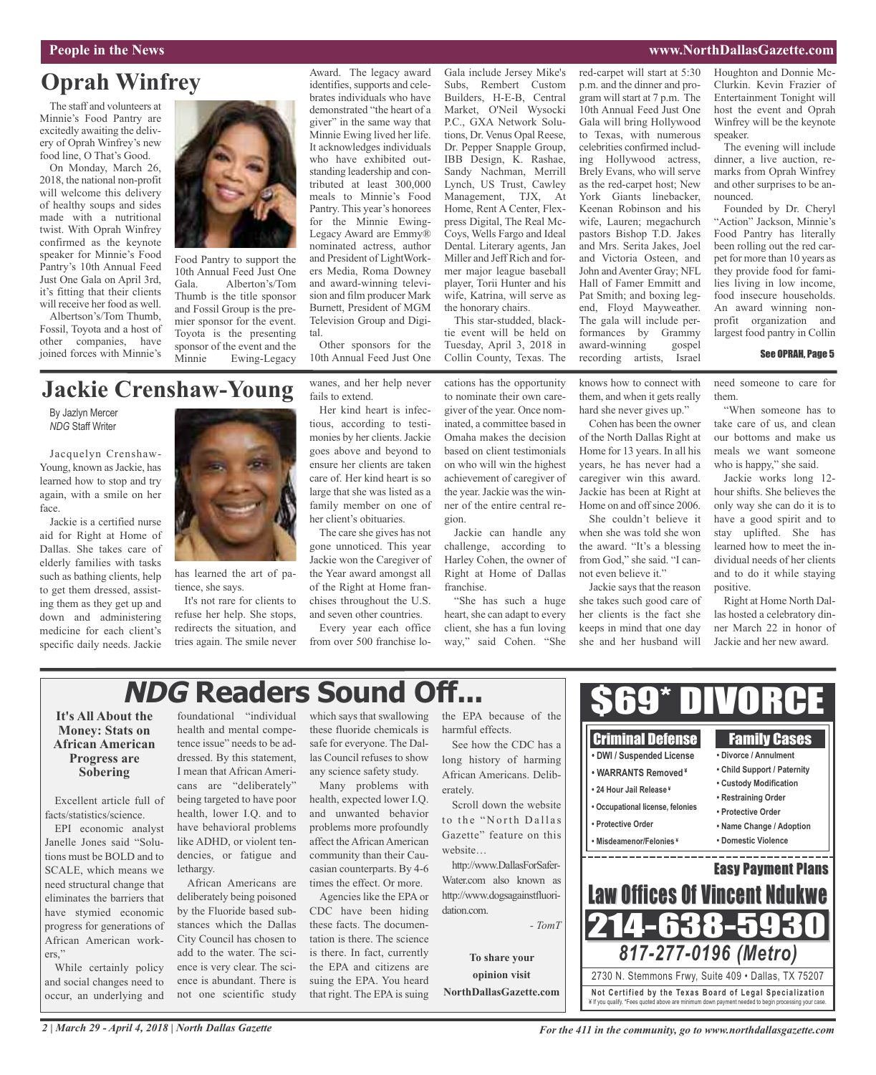### **People in the News www.NorthDallasGazette.com**

### **Oprah Winfrey**

The staff and volunteers at Minnie's Food Pantry are excitedly awaiting the delivery of Oprah Winfrey's new food line, O That's Good.

On Monday, March 26, 2018, the national non-profit will welcome this delivery of healthy soups and sides made with a nutritional twist. With Oprah Winfrey confirmed as the keynote speaker for Minnie's Food Pantry's 10th Annual Feed Just One Gala on April 3rd, it's fitting that their clients will receive her food as well.

Albertson's/Tom Thumb, Fossil, Toyota and a host of other companies, have joined forces with Minnie's



Food Pantry to support the 10th Annual Feed Just One<br>Gala Alberton's/Tom Alberton's/Tom Thumb is the title sponsor and Fossil Group is the premier sponsor for the event. Toyota is the presenting sponsor of the event and the Minnie Ewing-Legacy

Award. The legacy award identifies, supports and celebrates individuals who have demonstrated "the heart of a giver" in the same way that Minnie Ewing lived her life. It acknowledges individuals who have exhibited outstanding leadership and contributed at least 300,000 meals to Minnie's Food Pantry. This year's honorees for the Minnie Ewing-Legacy Award are Emmy® nominated actress, author and President of LightWorkers Media, Roma Downey and award-winning television and film producer Mark Burnett, President of MGM Television Group and Digital.

Other sponsors for the 10th Annual Feed Just One

wanes, and her help never

**Jackie Crenshaw-Young**

By Jazlyn Mercer *NDG* Staff Writer

Jacquelyn Crenshaw-Young, known as Jackie, has learned how to stop and try again, with a smile on her face.

Jackie is a certified nurse aid for Right at Home of Dallas. She takes care of elderly families with tasks such as bathing clients, help to get them dressed, assisting them as they get up and down and administering medicine for each client's specific daily needs. Jackie



has learned the art of patience, she says.

It's not rare for clients to refuse her help. She stops, redirects the situation, and tries again. The smile never fails to extend. Her kind heart is infectious, according to testimonies by her clients.Jackie goes above and beyond to ensure her clients are taken

care of. Her kind heart is so large that she was listed as a family member on one of her client's obituaries. The care she gives has not

gone unnoticed. This year Jackie won the Caregiver of the Year award amongst all of the Right at Home franchises throughout the U.S. and seven other countries.

Every year each office from over 500 franchise loGala include Jersey Mike's Subs, Rembert Custom Builders, H-E-B, Central Market, O'Neil Wysocki P.C., GXA Network Solutions, Dr. Venus Opal Reese, Dr. Pepper Snapple Group, IBB Design, K. Rashae, Sandy Nachman, Merrill Lynch, US Trust, Cawley Management, TJX, At Home, Rent A Center, Flexpress Digital, The Real Mc-Coys, Wells Fargo and Ideal Dental. Literary agents, Jan Miller and Jeff Rich and former major league baseball player, Torii Hunter and his wife, Katrina, will serve as the honorary chairs.

This star-studded, blacktie event will be held on Tuesday, April 3, 2018 in Collin County, Texas. The

cations has the opportunity to nominate their own caregiver of the year. Once nominated, a committee based in Omaha makes the decision based on client testimonials on who will win the highest achievement of caregiver of the year. Jackie was the winner of the entire central region.

Jackie can handle any challenge, according to Harley Cohen, the owner of Right at Home of Dallas franchise.

"She has such a huge heart, she can adapt to every client, she has a fun loving way," said Cohen. "She red-carpet will start at 5:30 p.m. and the dinner and program willstart at 7 p.m. The 10th Annual Feed Just One Gala will bring Hollywood to Texas, with numerous celebrities confirmed including Hollywood actress, Brely Evans, who will serve as the red-carpet host; New York Giants linebacker, Keenan Robinson and his wife, Lauren; megachurch pastors Bishop T.D. Jakes and Mrs. Serita Jakes, Joel and Victoria Osteen, and John and Aventer Gray; NFL Hall of Famer Emmitt and Pat Smith; and boxing legend, Floyd Mayweather. The gala will include performances by Grammy award-winning gospel recording artists, Israel

knows how to connect with them, and when it gets really hard she never gives up." Cohen has been the owner of the North Dallas Right at Home for 13 years. In all his years, he has never had a caregiver win this award. Jackie has been at Right at Home on and off since 2006. She couldn't believe it when she was told she won the award. "It's a blessing from God," she said. "I cannot even believe it."

Jackie saysthat the reason she takes such good care of her clients is the fact she keeps in mind that one day she and her husband will

> Criminal Defense **• DWI / Suspended License**

Houghton and Donnie Mc-Clurkin. Kevin Frazier of Entertainment Tonight will host the event and Oprah Winfrey will be the keynote speaker.

The evening will include dinner, a live auction, remarks from Oprah Winfrey and other surprises to be announced.

Founded by Dr. Cheryl 'Action" Jackson, Minnie's Food Pantry has literally been rolling out the red carpet for more than 10 years as they provide food for families living in low income, food insecure households. An award winning nonprofit organization and largest food pantry in Collin

See OPRAH, Page 5

need someone to care for them.

"When someone has to take care of us, and clean our bottoms and make us meals we want someone who is happy," she said.

Jackie works long 12 hour shifts. She believes the only way she can do it is to have a good spirit and to stay uplifted. She has learned how to meet the individual needs of her clients and to do it while staying positive.

Right at Home North Dallas hosted a celebratory dinner March 22 in honor of Jackie and her new award.

Family Cases **• Divorce / Annulment**

### **NDG Readers Sound Off...**

**It's All About the Money: Stats on African American Progress are Sobering**

Excellent article full of facts/statistics/science.

EPI economic analyst Janelle Jones said "Solutions must be BOLD and to SCALE, which means we need structural change that eliminates the barriers that have stymied economic progress for generations of African American workers,"

While certainly policy and social changes need to occur, an underlying and

foundational "individual health and mental competence issue" needs to be addressed. By this statement, I mean that African Americans are "deliberately" being targeted to have poor health, lower I.Q. and to have behavioral problems like ADHD, or violent tendencies, or fatigue and lethargy.

African Americans are deliberately being poisoned by the Fluoride based substances which the Dallas City Council has chosen to add to the water. The science is very clear. The science is abundant. There is not one scientific study which says that swallowing these fluoride chemicals is safe for everyone. The Dallas Council refuses to show any science safety study.

Many problems with health, expected lower I.Q. and unwanted behavior problems more profoundly affect the African American community than their Caucasian counterparts. By 4-6 times the effect. Or more.

Agencies like the EPA or CDC have been hiding these facts. The documentation is there. The science is there. In fact, currently the EPA and citizens are suing the EPA. You heard that right. The EPA is suing the EPA because of the harmful effects.

See how the CDC has a long history of harming African Americans. Deliberately.

Scroll down the website to the "North Dallas Gazette" feature on this website…

http://www.DallasForSafer-Water.com also known as http://www.dogsagainstfluoridation.com.

**To share your opinion visit NorthDallasGazette.com**



\$69\* DIVORCE

*For the 411 in the community, go to www.northdallasgazette.com*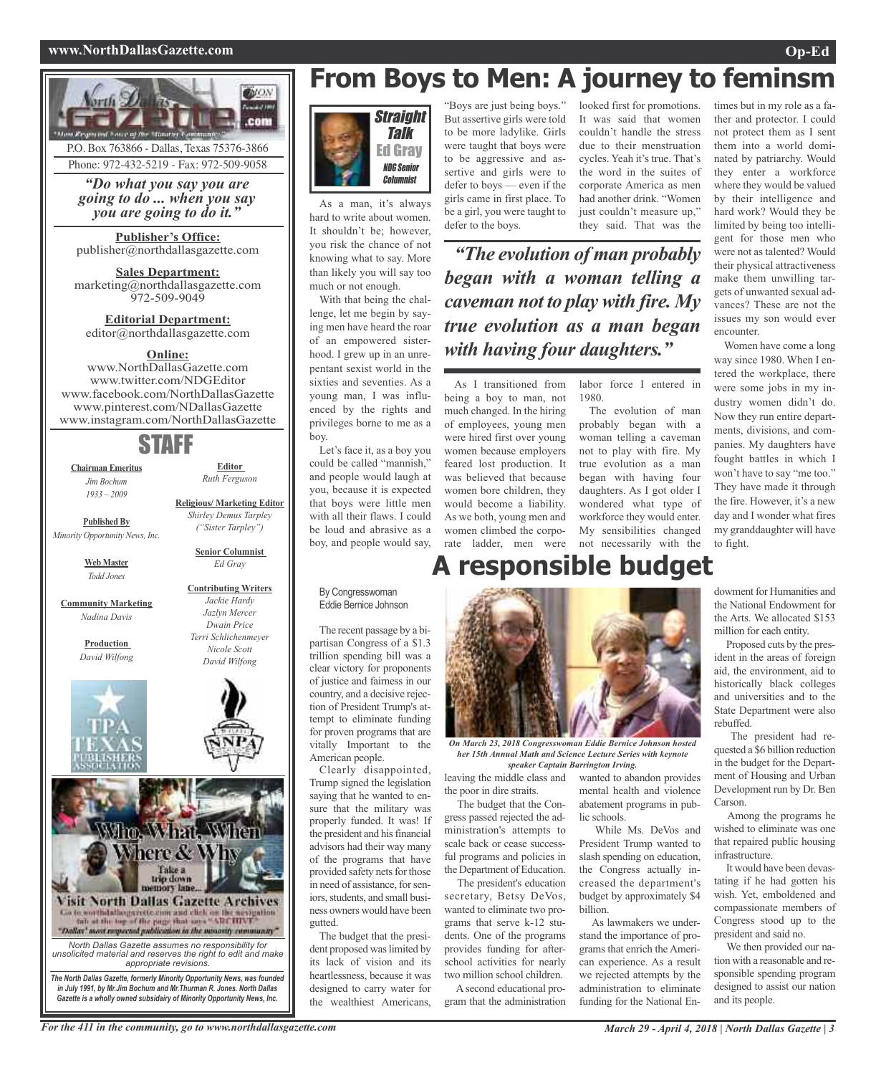#### **www.NorthDallasGazette.com Op-Ed**



P.O. Box 763866 - Dallas, Texas 75376-3866 Phone: 972-432-5219 - Fax: 972-509-9058

*"Do what you say you are going to do ... when you say you are going to do it."*

**Publisher's Office:** publisher@northdallasgazette.com

**Sales Department:** marketing@northdallasgazette.com 972-509-9049

**Editorial Department:** editor@northdallasgazette.com

#### **Online:**

www.NorthDallasGazette.com www.twitter.com/NDGEditor www.facebook.com/NorthDallasGazette www.pinterest.com/NDallasGazette www.instagram.com/NorthDallasGazette

### STAFF

**Chairman Emeritus** *Jim Bochum 1933 – 2009*

**Published By** *Minority Opportunity News, Inc.*

> **Web Master** *Todd Jones*

**Community Marketing** *Nadina Davis*

> **Production** *David Wilfong*



*Jackie Hardy Jazlyn Mercer Dwain Price*



*Terri Schlichenmeyer Nicole Scott David Wilfong*

**Editor** *Ruth Ferguson*

**Religious/ Marketing Editor** *Shirley Demus Tarpley ("Sister Tarpley")*

**Senior Columnist**





*appropriate revisions. The North Dallas Gazette, formerly Minority Opportunity News, was founded*

#### *in July 1991, by Mr.Jim Bochum and Mr.Thurman R. Jones. North Dallas Gazette is a wholly owned subsidairy of Minority Opportunity News, Inc.*

# **From Boys to Men: A journey to feminsm**



As a man, it's always hard to write about women. It shouldn't be; however, you risk the chance of not knowing what to say. More than likely you will say too much or not enough.

With that being the challenge, let me begin by saying men have heard the roar of an empowered sisterhood. I grew up in an unrepentant sexist world in the sixties and seventies. As a young man, I was influenced by the rights and privileges borne to me as a boy.

Let's face it, as a boy you could be called "mannish," and people would laugh at you, because it is expected that boys were little men with all their flaws. I could be loud and abrasive as a boy, and people would say,

#### By Congresswoman Eddie Bernice Johnson

The recent passage by a bipartisan Congress of a \$1.3 trillion spending bill was a clear victory for proponents of justice and fairness in our country, and a decisive rejection of President Trump's attempt to eliminate funding for proven programs that are vitally Important to the American people.

Clearly disappointed, Trump signed the legislation saying that he wanted to ensure that the military was properly funded. It was! If the president and his financial advisors had their way many of the programs that have provided safety nets for those in need of assistance, for seniors, students, and small business owners would have been gutted.

The budget that the president proposed was limited by its lack of vision and its heartlessness, because it was designed to carry water for the wealthiest Americans,

"Boys are just being boys." But assertive girls were told to be more ladylike. Girls were taught that boys were to be aggressive and assertive and girls were to defer to boys — even if the girls came in first place. To be a girl, you were taught to defer to the boys.

looked first for promotions. It was said that women couldn't handle the stress due to their menstruation cycles. Yeah it's true. That's the word in the suites of corporate America as men had another drink. "Women just couldn't measure up," they said. That was the

labor force I entered in

The evolution of man probably began with a woman telling a caveman not to play with fire. My true evolution as a man began with having four daughters. As I got older I wondered what type of workforce they would enter. My sensibilities changed not necessarily with the

*"The evolution of man probably began with a woman telling a caveman not to play with fire. My true evolution as a man began with having four daughters."*

1980.

As I transitioned from being a boy to man, not much changed. In the hiring of employees, young men were hired first over young women because employers feared lost production. It was believed that because women bore children, they would become a liability. As we both, young men and women climbed the corporate ladder, men were

### **A responsible budget**



*On March 23, 2018 Congresswoman Eddie Bernice Johnson hosted her 15th Annual Math and Science Lecture Series with keynote speaker Captain Barrington Irving.*

lic schools.

billion.

wanted to abandon provides mental health and violence abatement programs in pub-

While Ms. DeVos and President Trump wanted to slash spending on education, the Congress actually increased the department's budget by approximately \$4

As lawmakers we understand the importance of programs that enrich the American experience. As a result we rejected attempts by the administration to eliminate funding for the National En-

leaving the middle class and the poor in dire straits.

The budget that the Congress passed rejected the administration's attempts to scale back or cease successful programs and policies in the Department of Education.

The president's education secretary, Betsy DeVos, wanted to eliminate two programs that serve k-12 students. One of the programs provides funding for afterschool activities for nearly two million school children.

Asecond educational program that the administration times but in my role as a father and protector. I could not protect them as I sent them into a world dominated by patriarchy. Would they enter a workforce where they would be valued by their intelligence and hard work? Would they be limited by being too intelligent for those men who were not as talented? Would their physical attractiveness make them unwilling targets of unwanted sexual advances? These are not the

> encounter. Women have come a long way since 1980. When I entered the workplace, there were some jobs in my industry women didn't do. Now they run entire departments, divisions, and companies. My daughters have fought battles in which I won't have to say "me too." They have made it through the fire. However, it's a new day and I wonder what fires my granddaughter will have to fight.

issues my son would ever

dowment for Humanities and the National Endowment for the Arts. We allocated \$153 million for each entity.

Proposed cuts by the president in the areas of foreign aid, the environment, aid to historically black colleges and universities and to the State Department were also rebuffed.

The president had requested a \$6 billion reduction in the budget for the Department of Housing and Urban Development run by Dr. Ben Carson.

Among the programs he wished to eliminate was one that repaired public housing infrastructure.

It would have been devastating if he had gotten his wish. Yet, emboldened and compassionate members of Congress stood up to the president and said no.

We then provided our nation with a reasonable and responsible spending program designed to assist our nation and its people.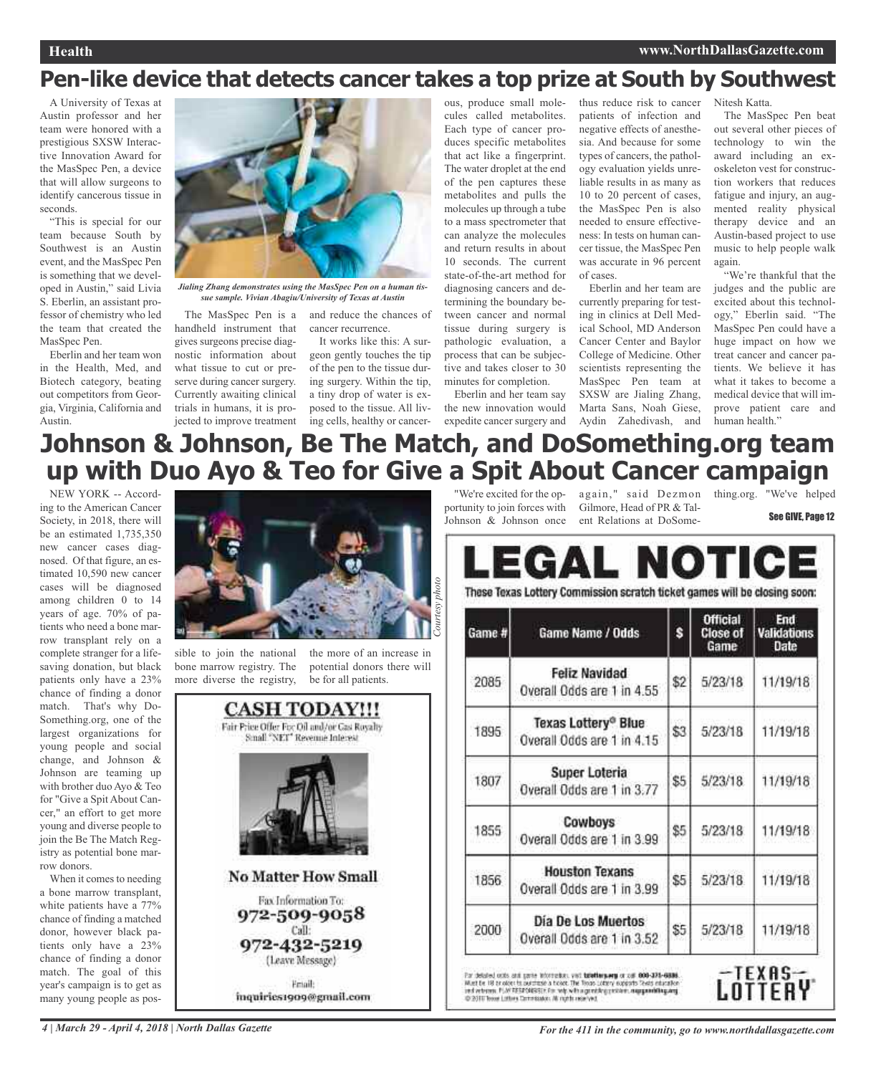#### **Health www.NorthDallasGazette.com**

### **Pen-like device that detects cancer takes a top prize at South by Southwest**

A University of Texas at Austin professor and her team were honored with a prestigious SXSW Interactive Innovation Award for the MasSpec Pen, a device that will allow surgeons to identify cancerous tissue in seconds.

"This is special for our team because South by Southwest is an Austin event, and the MasSpec Pen is something that we developed in Austin," said Livia S. Eberlin, an assistant professor of chemistry who led the team that created the MasSpec Pen.

Eberlin and her team won in the Health, Med, and Biotech category, beating out competitors from Georgia, Virginia, California and Austin.

The MasSpec Pen is a handheld instrument that gives surgeons precise diagnostic information about what tissue to cut or preserve during cancer surgery. Currently awaiting clinical

trials in humans, it is projected to improve treatment



*Jialing Zhang demonstrates using the MasSpec Pen on a human tissue sample. Vivian Abagiu/University of Texas at Austin*

and reduce the chances of cancer recurrence. It works like this: A surgeon gently touches the tip

of the pen to the tissue during surgery. Within the tip, a tiny drop of water is exposed to the tissue. All living cells, healthy or cancer-

ous, produce small molecules called metabolites. Each type of cancer produces specific metabolites that act like a fingerprint. The water droplet at the end of the pen captures these metabolites and pulls the molecules up through a tube to a mass spectrometer that can analyze the molecules and return results in about 10 seconds. The current state-of-the-art method for diagnosing cancers and determining the boundary between cancer and normal tissue during surgery is pathologic evaluation, a process that can be subjective and takes closer to 30 minutes for completion. Eberlin and her team say

the new innovation would expedite cancer surgery and thus reduce risk to cancer patients of infection and negative effects of anesthesia. And because for some types of cancers, the pathology evaluation yields unreliable results in as many as 10 to 20 percent of cases, the MasSpec Pen is also needed to ensure effectiveness: In tests on human cancer tissue, the MasSpec Pen was accurate in 96 percent of cases.

Eberlin and her team are currently preparing for testing in clinics at Dell Medical School, MD Anderson Cancer Center and Baylor College of Medicine. Other scientists representing the MasSpec Pen team at SXSW are Jialing Zhang, Marta Sans, Noah Giese, Aydin Zahedivash, and Nitesh Katta.

The MasSpec Pen beat out several other pieces of technology to win the award including an exoskeleton vest for construction workers that reduces fatigue and injury, an augmented reality physical therapy device and an Austin-based project to use music to help people walk again.

"We're thankful that the judges and the public are excited about this technology," Eberlin said. "The MasSpec Pen could have a huge impact on how we treat cancer and cancer patients. We believe it has what it takes to become a medical device that will improve patient care and human health."

### **Johnson & Johnson, Be The Match, and DoSomething.org team up with Duo Ayo & Teo for Give a Spit About Cancer campaign**

NEW YORK -- According to the American Cancer Society, in 2018, there will be an estimated 1,735,350 new cancer cases diagnosed. Of that figure, an estimated 10,590 new cancer cases will be diagnosed among children 0 to 14 years of age. 70% of patients who need a bone marrow transplant rely on a complete stranger for a lifesaving donation, but black patients only have a 23% chance of finding a donor match. That's why Do-Something.org, one of the largest organizations for young people and social change, and Johnson & Johnson are teaming up with brother duo Ayo & Teo for "Give a Spit About Cancer," an effort to get more young and diverse people to join the Be The Match Registry as potential bone marrow donors.

When it comes to needing a bone marrow transplant, white patients have a 77% chance of finding a matched donor, however black patients only have a 23% chance of finding a donor match. The goal of this year's campaign is to get as many young people as pos-



sible to join the national bone marrow registry. The more diverse the registry,

the more of an increase in potential donors there will be for all patients.



"We're excited for the opportunity to join forces with Johnson & Johnson once ent Relations at DoSome-

again," said Dezmon Gilmore, Head of PR & Tal-

thing.org. "We've helped

See GIVE, Page 12

| Game # | Game Name / Odds                                    | s   | <b>Official</b><br><b>Close of</b><br>Game | End<br><b>Validations</b><br>Date |
|--------|-----------------------------------------------------|-----|--------------------------------------------|-----------------------------------|
| 2085   | <b>Feliz Navidad</b><br>Overall Odds are 1 in 4.55  | \$2 | 5/23/18                                    | 11/19/18                          |
| 1895   | Texas Lottery® Blue<br>Overall Odds are 1 in 4.15   | \$3 | 5/23/18                                    | 11/19/18                          |
| 1807   | <b>Super Loteria</b><br>Overall Odds are 1 in 3.77  | \$5 | 5/23/18                                    | 11/19/18                          |
| 1855   | Cowboys<br>Overall Odds are 1 in 3.99               | \$5 | 5/23/18                                    | 11/19/18                          |
| 1856   | <b>Houston Texans</b><br>Overall Odds are 1 in 3.99 | \$5 | 5/23/18                                    | 11/19/18                          |
| 2000   | Día De Los Muertos<br>Overall Odds are 1 in 3.52    | \$5 | 5/23/18                                    | 11/19/18                          |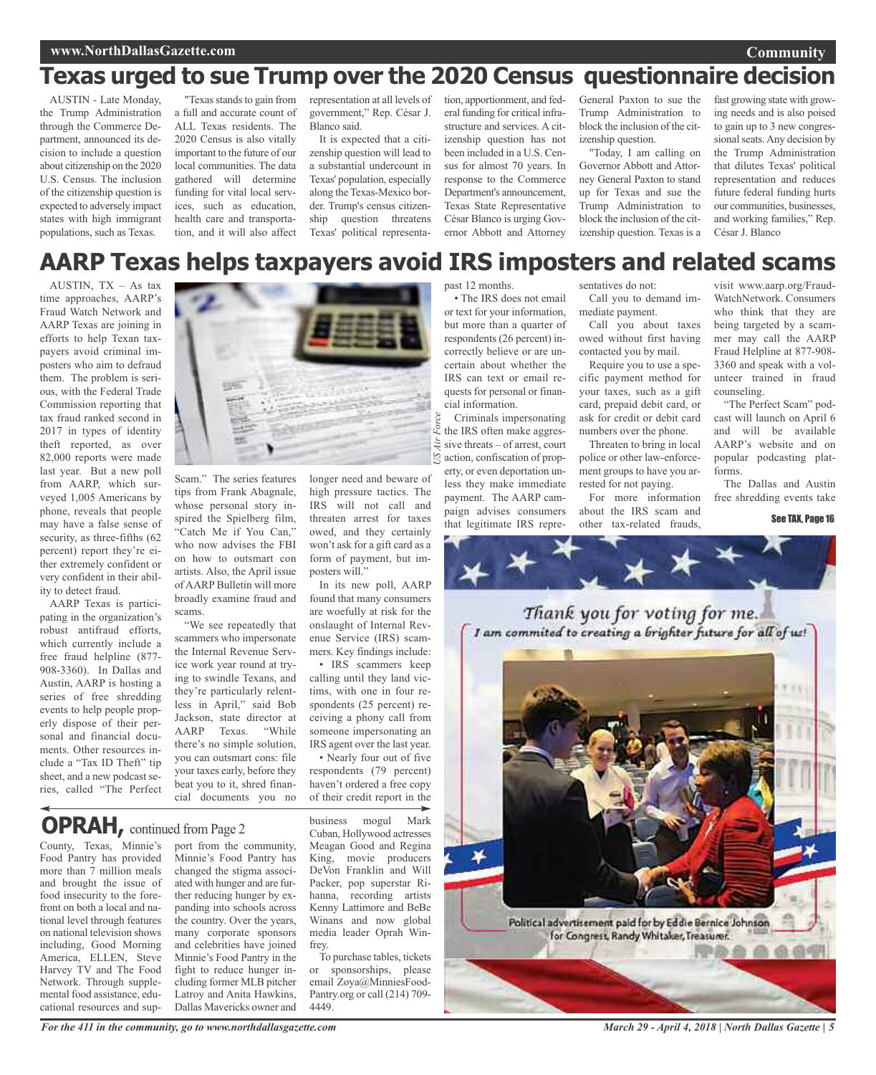#### **Community**

### **Texas urged to sue Trump over the 2020 Census questionnaire decision**

AUSTIN - Late Monday, the Trump Administration through the Commerce Department, announced its decision to include a question about citizenship on the 2020 U.S. Census. The inclusion of the citizenship question is expected to adversely impact states with high immigrant populations, such as Texas.

"Texas stands to gain from a full and accurate count of ALL Texas residents. The 2020 Census is also vitally important to the future of our local communities. The data gathered will determine funding for vital local services, such as education, health care and transportation, and it will also affect

representation at all levels of government," Rep. César J. Blanco said.

It is expected that a citizenship question will lead to a substantial undercount in Texas' population, especially along the Texas-Mexico border. Trump's census citizenship question threatens Texas' political representation, apportionment, and federal funding for critical infrastructure and services. A citizenship question has not been included in a U.S. Census for almost 70 years. In response to the Commerce Department's announcement, Texas State Representative César Blanco is urging Governor Abbott and Attorney General Paxton to sue the Trump Administration to block the inclusion of the citizenship question.

"Today, I am calling on Governor Abbott and Attorney General Paxton to stand up for Texas and sue the Trump Administration to block the inclusion of the citizenship question. Texas is a

Call you to demand im-

Call you about taxes owed without first having contacted you by mail. Require you to use a specific payment method for your taxes, such as a gift card, prepaid debit card, or ask for credit or debit card numbers over the phone. Threaten to bring in local police or other law-enforcement groups to have you arrested for not paying.

For more information about the IRS scam and

sentatives do not:

mediate payment.

fast growing state with growing needs and is also poised to gain up to 3 new congressional seats. Any decision by the Trump Administration that dilutes Texas' political representation and reduces future federal funding hurts our communities, businesses, and working families," Rep. César J. Blanco

### visit www.aarp.org/Fraud-**AARP Texas helps taxpayers avoid IRS imposters and related scams**

AUSTIN, TX – As tax time approaches, AARP's Fraud Watch Network and AARP Texas are joining in efforts to help Texan taxpayers avoid criminal imposters who aim to defraud them. The problem is serious, with the Federal Trade Commission reporting that tax fraud ranked second in 2017 in types of identity theft reported, as over 82,000 reports were made last year. But a new poll from AARP, which surveyed 1,005 Americans by phone, reveals that people may have a false sense of security, as three-fifths (62 percent) report they're either extremely confident or very confident in their ability to detect fraud.

AARP Texas is participating in the organization's robust antifraud efforts, which currently include a free fraud helpline (877- 908-3360). In Dallas and Austin, AARP is hosting a series of free shredding events to help people properly dispose of their personal and financial documents. Other resources include a "Tax ID Theft" tip sheet, and a new podcast series, called "The Perfect



Scam." The series features tips from Frank Abagnale, whose personal story inspired the Spielberg film, "Catch Me if You Can," who now advises the FBI on how to outsmart con artists. Also, the April issue of AARP Bulletin will more broadly examine fraud and scams.

"We see repeatedly that scammers who impersonate the Internal Revenue Service work year round at trying to swindle Texans, and they're particularly relentless in April," said Bob Jackson, state director at AARP Texas. "While there's no simple solution, you can outsmart cons: file your taxes early, before they beat you to it, shred financial documents you no

longer need and beware of high pressure tactics. The IRS will not call and threaten arrest for taxes owed, and they certainly won't ask for a gift card as a form of payment, but imposters will."

In its new poll, AARP found that many consumers are woefully at risk for the onslaught of Internal Revenue Service (IRS) scammers. Key findings include:

• IRS scammers keep calling until they land victims, with one in four respondents (25 percent) receiving a phony call from someone impersonating an IRS agent over the last year.

• Nearly four out of five respondents (79 percent) haven't ordered a free copy of their credit report in the

**OPRAH,** continued from Page <sup>2</sup>

County, Texas, Minnie's Food Pantry has provided more than 7 million meals and brought the issue of food insecurity to the forefront on both a local and national level through features on national television shows including, Good Morning America, ELLEN, Steve Harvey TV and The Food Network. Through supplemental food assistance, educational resources and sup-

port from the community, Minnie's Food Pantry has changed the stigma associated with hunger and are further reducing hunger by expanding into schools across the country. Over the years, many corporate sponsors and celebrities have joined Minnie's Food Pantry in the fight to reduce hunger including former MLB pitcher Latroy and Anita Hawkins, Dallas Mavericks owner and

*For the 411 in the community, go to www.northdallasgazette.com*

business mogul Mark Cuban, Hollywood actresses Meagan Good and Regina King, movie producers DeVon Franklin and Will Packer, pop superstar Rihanna, recording artists Kenny Lattimore and BeBe Winans and now global media leader Oprah Winfrey.

To purchase tables, tickets or sponsorships, please email Zoya@MinniesFood-Pantry.org or call (214) 709- 4449.

past 12 months.

• The IRS does not email or text for your information, but more than a quarter of respondents (26 percent) incorrectly believe or are uncertain about whether the IRS can text or email requests for personal or financial information.

Criminals impersonating the IRS often make aggressive threats – of arrest, court action, confiscation of property, or even deportation unless they make immediate payment. The AARP campaign advises consumers that legitimate IRS repre-



Political advertisement paid for by Eddie Bernice Johnson for Congress, Randy Whitaker, Treasurer.

WatchNetwork. Consumers who think that they are being targeted by a scammer may call the AARP Fraud Helpline at 877-908- 3360 and speak with a volunteer trained in fraud counseling.

"The Perfect Scam" podcast will launch on April 6 and will be available AARP's website and on popular podcasting platforms.

The Dallas and Austin free shredding events take

See TAX, Page 16

*March 29 - April 4, 2018 | North Dallas Gazette | 5*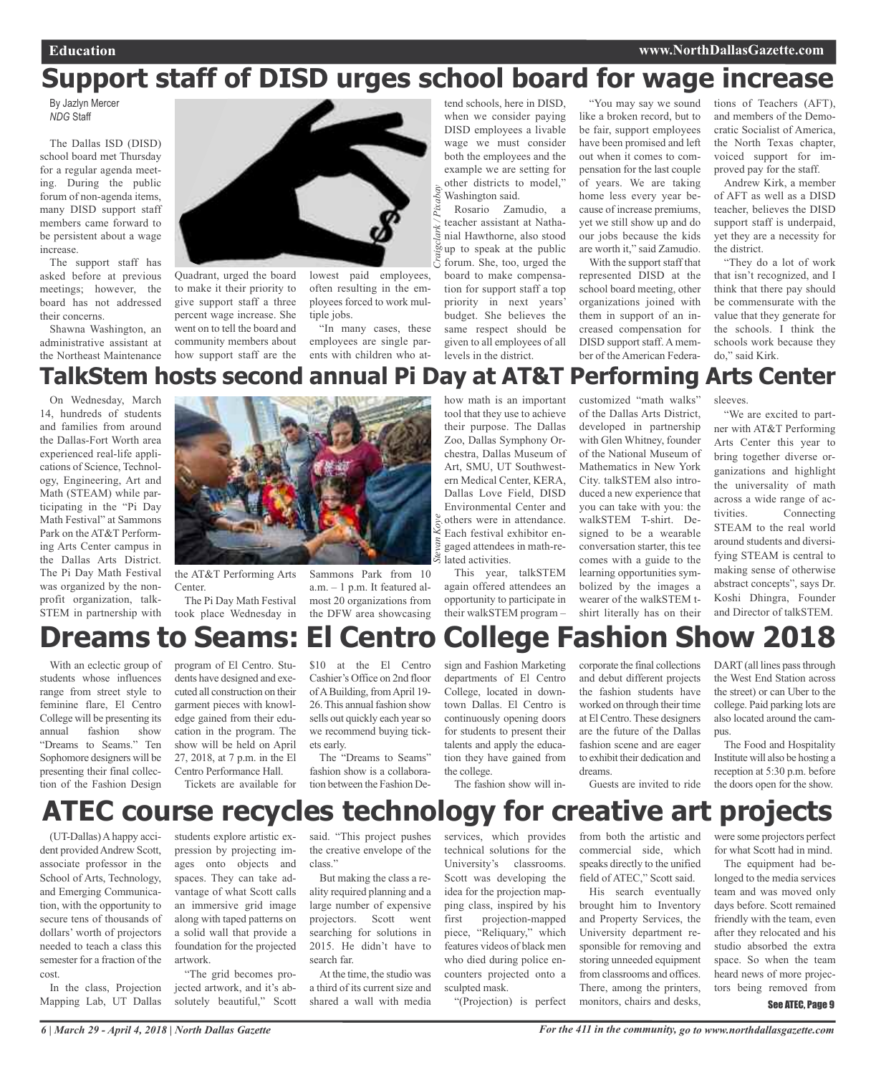# **Support staff of DISD urges school board for wage increase**

By Jazlyn Mercer *NDG* Staff

The Dallas ISD (DISD) school board met Thursday for a regular agenda meeting. During the public forum of non-agenda items, many DISD support staff members came forward to be persistent about a wage increase.

The support staff has asked before at previous meetings; however, the board has not addressed their concerns.

Shawna Washington, an administrative assistant at the Northeast Maintenance



Quadrant, urged the board to make it their priority to give support staff a three percent wage increase. She went on to tell the board and community members about

lowest paid employees, often resulting in the employees forced to work multiple jobs.

"In many cases, these employees are single par-

tend schools, here in DISD, when we consider paying DISD employees a livable wage we must consider both the employees and the example we are setting for other districts to model," Washington said.

Pixabay *Craigclark / Pixabay* Rosario Zamudio, a teacher assistant at Natha $ark$ nial Hawthorne, also stood  $\frac{S_0}{S_1}$  up to speak at the public<br>  $\sum_{i=1}^{N}$  forum. She, too, urged the forum. She, too, urged the board to make compensation for support staff a top priority in next years' budget. She believes the same respect should be given to all employees of all

how support staff are the ents with children who atlevels in the district. ber of the American Federado," said Kirk.

On Wednesday, March 14, hundreds of students and families from around the Dallas-Fort Worth area experienced real-life applications of Science, Technology, Engineering, Art and Math (STEAM) while participating in the "Pi Day Math Festival" at Sammons Park on the AT&T Performing Arts Center campus in the Dallas Arts District. The Pi Day Math Festival was organized by the nonprofit organization, talk-STEM in partnership with



tool that they use to achieve their purpose. The Dallas Zoo, Dallas Symphony Orchestra, Dallas Museum of Art, SMU, UT Southwestern Medical Center, KERA, Dallas Love Field, DISD Environmental Center and others were in attendance. Each festival exhibitor engaged attendees in math-related activities. This year, talkSTEM again offered attendees an

opportunity to participate in their walkSTEM program –

"You may say we sound like a broken record, but to be fair, support employees have been promised and left out when it comes to compensation for the last couple of years. We are taking home less every year because of increase premiums, yet we still show up and do our jobs because the kids are worth it," said Zamudio.

With the support staff that represented DISD at the school board meeting, other organizations joined with them in support of an increased compensation for DISD support staff. Amemtions of Teachers (AFT), and members of the Democratic Socialist of America, the North Texas chapter, voiced support for improved pay for the staff.

Andrew Kirk, a member of AFT as well as a DISD teacher, believes the DISD support staff is underpaid, yet they are a necessity for the district.

"They do a lot of work that isn't recognized, and I think that there pay should be commensurate with the value that they generate for the schools. I think the schools work because they

### **TalkStem hosts second annual Pi Day at AT&T Performing Arts Center** how math is an important

*Stevan Koye* the AT&T Performing Arts Center. The Pi Day Math Festival took place Wednesday in Sammons Park from 10 a.m. – 1 p.m. It featured almost 20 organizations from the DFW area showcasing

customized "math walks" of the Dallas Arts District, developed in partnership with Glen Whitney, founder of the National Museum of Mathematics in New York City. talkSTEM also introduced a new experience that you can take with you: the walkSTEM T-shirt. Designed to be a wearable conversation starter, this tee comes with a guide to the learning opportunities symbolized by the images a wearer of the walkSTEM tshirt literally has on their

sleeves.

"We are excited to partner with AT&T Performing Arts Center this year to bring together diverse organizations and highlight the universality of math across a wide range of activities. Connecting STEAM to the real world around students and diversifying STEAM is central to making sense of otherwise abstract concepts", says Dr. Koshi Dhingra, Founder and Director of talkSTEM.

the West End Station across the street) or can Uber to the college. Paid parking lots are also located around the cam-

The Food and Hospitality Institute will also be hosting a reception at 5:30 p.m. before

pus.

### **Dreams to Seams: El Centro College Fashion Show 2018** DART (all lines pass through

With an eclectic group of students whose influences range from street style to feminine flare, El Centro College will be presenting its annual fashion show "Dreams to Seams." Ten Sophomore designers will be presenting their final collecprogram of El Centro. Students have designed and executed all construction on their garment pieces with knowledge gained from their education in the program. The show will be held on April 27, 2018, at 7 p.m. in the El Centro Performance Hall.

\$10 at the El Centro Cashier's Office on 2nd floor ofABuilding, fromApril 19- 26.This annual fashion show sells out quickly each yearso we recommend buying tickets early.

The "Dreams to Seams" fashion show is a collaborasign and Fashion Marketing departments of El Centro College, located in downtown Dallas. El Centro is continuously opening doors for students to present their talents and apply the education they have gained from the college.

corporate the final collections and debut different projects the fashion students have worked on through their time at El Centro. These designers are the future of the Dallas fashion scene and are eager to exhibit their dedication and dreams.

#### tion of the Fashion Design Tickets are available for tion between the Fashion De-The fashion show will in-Guests are invited to ride the doors open for the show. **ATEC course recycles technology for creative art projects**

(UT-Dallas)Ahappy accident provided Andrew Scott, associate professor in the School of Arts, Technology, and Emerging Communication, with the opportunity to secure tens of thousands of dollars' worth of projectors needed to teach a class this semester for a fraction of the cost.

In the class, Projection Mapping Lab, UT Dallas

students explore artistic expression by projecting images onto objects and spaces. They can take advantage of what Scott calls an immersive grid image along with taped patterns on a solid wall that provide a foundation for the projected artwork.

"The grid becomes projected artwork, and it's absolutely beautiful," Scott

said. "This project pushes the creative envelope of the class."

But making the class a reality required planning and a large number of expensive projectors. Scott went searching for solutions in 2015. He didn't have to search far.

At the time, the studio was a third of its current size and shared a wall with media

services, which provides technical solutions for the University's classrooms. Scott was developing the idea for the projection mapping class, inspired by his first projection-mapped piece, "Reliquary," which features videos of black men who died during police encounters projected onto a sculpted mask.

"(Projection) is perfect

from both the artistic and commercial side, which speaks directly to the unified field of ATEC," Scott said.

His search eventually brought him to Inventory and Property Services, the University department responsible for removing and storing unneeded equipment from classrooms and offices. There, among the printers, monitors, chairs and desks,

were some projectors perfect for what Scott had in mind.

The equipment had belonged to the media services team and was moved only days before. Scott remained friendly with the team, even after they relocated and his studio absorbed the extra space. So when the team heard news of more projectors being removed from

See ATEC, Page 9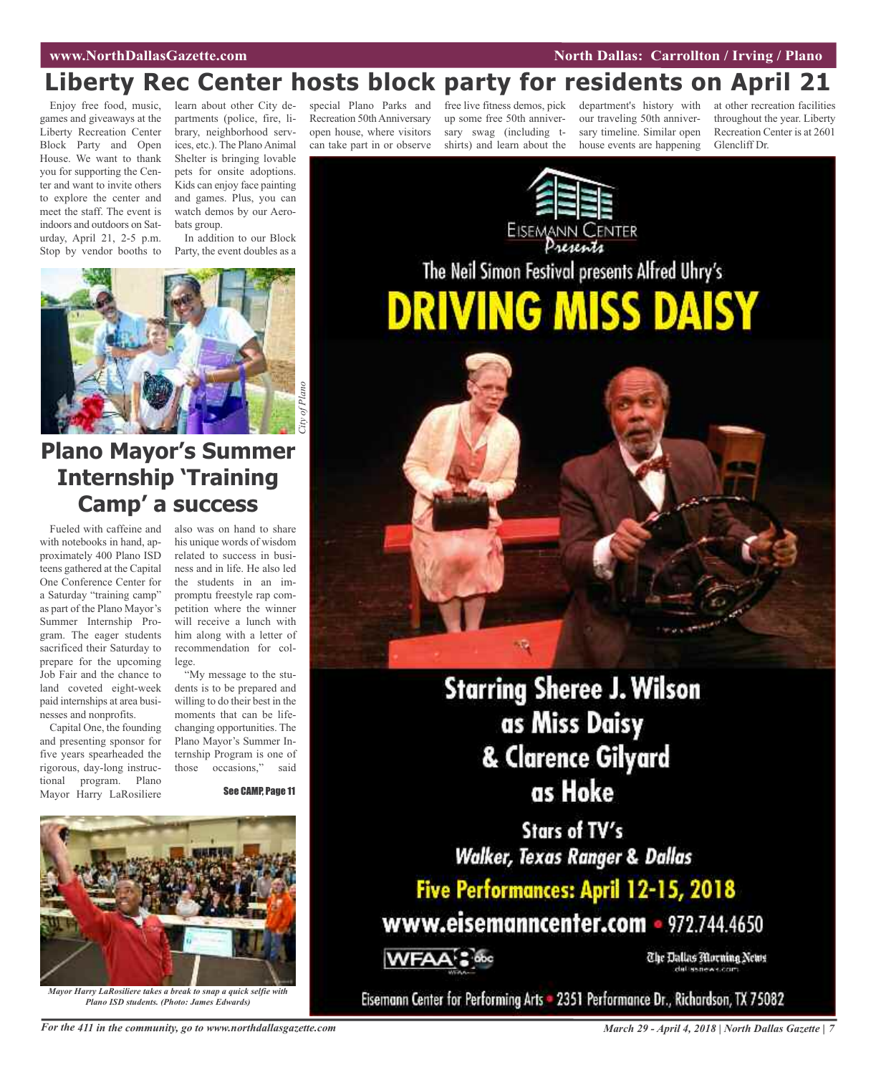**WAWRIGHT WAS SEXUAL SEXUAL SEXUAL SEXUAL SEXUAL SEXUAL SEXUAL SEXUAL SEXUAL SEXUAL SEXUAL SEXUAL SEXUAL SEXUAL SE** 

### **Liberty Rec Center hosts block party for residents on April 21**

Enjoy free food, music, games and giveaways at the Liberty Recreation Center Block Party and Open House. We want to thank you for supporting the Center and want to invite others to explore the center and meet the staff. The event is indoors and outdoors on Saturday, April 21, 2-5 p.m. Stop by vendor booths to

learn about other City departments (police, fire, library, neighborhood services, etc.). The Plano Animal Shelter is bringing lovable pets for onsite adoptions. Kids can enjoy face painting and games. Plus, you can watch demos by our Aerobats group.

In addition to our Block Party, the event doubles as a



### **Plano Mayor's Summer Internship 'Training Camp' a success**

Fueled with caffeine and with notebooks in hand, approximately 400 Plano ISD teens gathered at the Capital One Conference Center for a Saturday "training camp" as part of the Plano Mayor's Summer Internship Program. The eager students sacrificed their Saturday to prepare for the upcoming Job Fair and the chance to land coveted eight-week paid internships at area businesses and nonprofits.

Capital One, the founding and presenting sponsor for five years spearheaded the rigorous, day-long instructional program. Plano Mayor Harry LaRosiliere

also was on hand to share his unique words of wisdom related to success in business and in life. He also led the students in an impromptu freestyle rap competition where the winner will receive a lunch with him along with a letter of recommendation for college.

"My message to the students is to be prepared and willing to do their best in the moments that can be lifechanging opportunities. The Plano Mayor's Summer Internship Program is one of those occasions," said

See CAMP, Page 11

*Mayor Harry LaRosiliere takes a break to snap a quick selfie with Plano ISD students. (Photo: James Edwards)*

special Plano Parks and Recreation 50thAnniversary open house, where visitors can take part in or observe

free live fitness demos, pick up some free 50th anniversary swag (including tshirts) and learn about the

department's history with our traveling 50th anniversary timeline. Similar open house events are happening

at other recreation facilities throughout the year. Liberty Recreation Center is at 2601 Glencliff Dr.



# The Neil Simon Festival presents Alfred Uhry's **DRIVING MISS DAISY**



**Starring Sheree J. Wilson** as Miss Daisy & Clarence Gilyard as Hoke

Stars of TV's **Walker, Texas Ranger & Dallas** 

Five Performances: April 12-15, 2018 www.eisemanncenter.com - 972.744.4650

**WFAA's** abc

The Dallas Morning News

Eisemann Center for Performing Arts = 2351 Performance Dr., Richardson, TX 75082

For the 411 in the community, go to www.northdallasgazette.com March 29 - April 4, 2018 | North Dallas Gazette | 7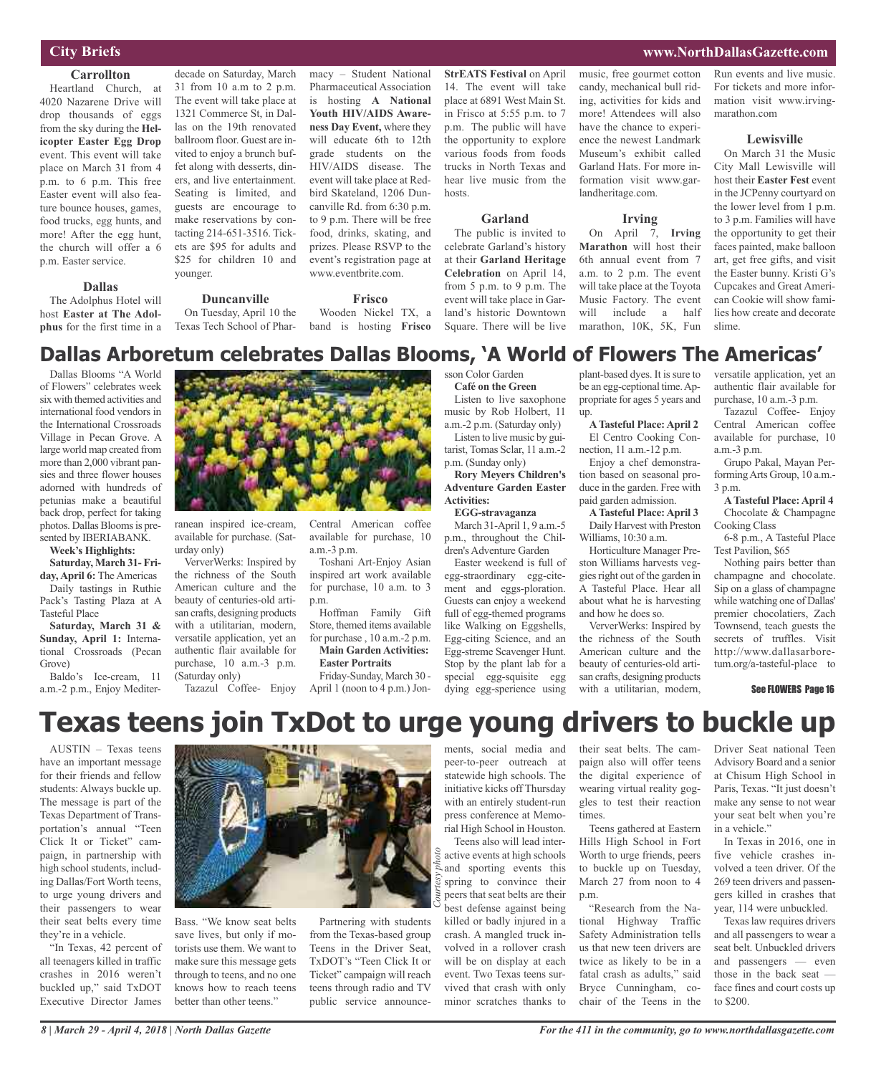### **City Briefs**

#### **Carrollton**

Heartland Church, at 4020 Nazarene Drive will drop thousands of eggs from the sky during the **Helicopter Easter Egg Drop** event. This event will take place on March 31 from 4 p.m. to 6 p.m. This free Easter event will also feature bounce houses, games, food trucks, egg hunts, and more! After the egg hunt, the church will offer a 6 p.m. Easter service.

#### **Dallas**

The Adolphus Hotel will host **Easter at The Adolphus** for the first time in a

decade on Saturday, March 31 from 10 a.m to 2 p.m. The event will take place at 1321 Commerce St, in Dallas on the 19th renovated ballroom floor. Guest are invited to enjoy a brunch buffet along with desserts, diners, and live entertainment. Seating is limited, and guests are encourage to make reservations by contacting 214-651-3516. Tickets are \$95 for adults and \$25 for children 10 and younger.

macy – Student National Pharmaceutical Association is hosting **A National Youth HIV/AIDS Awareness Day Event,** where they will educate 6th to 12th grade students on the HIV/AIDS disease. The event will take place at Redbird Skateland, 1206 Duncanville Rd. from 6:30 p.m. to 9 p.m. There will be free food, drinks, skating, and prizes. Please RSVP to the event's registration page at www.eventbrite.com.

**Frisco** Wooden Nickel TX, a band is hosting **Frisco** **StrEATS Festival** on April 14. The event will take place at 6891 West Main St. in Frisco at 5:55 p.m. to 7 p.m. The public will have the opportunity to explore various foods from foods trucks in North Texas and hear live music from the hosts.

#### **Garland**

The public is invited to celebrate Garland's history at their **Garland Heritage Celebration** on April 14, from 5 p.m. to 9 p.m. The event will take place in Garland's historic Downtown Square. There will be live

#### music, free gourmet cotton candy, mechanical bull riding, activities for kids and more! Attendees will also have the chance to experience the newest Landmark Run events and live music.

Museum's exhibit called Garland Hats. For more information visit www.gar-

**Irving** On April 7, **Irving Marathon** will host their 6th annual event from 7 a.m. to 2 p.m. The event will take place at the Toyota Music Factory. The event will include a half marathon, 10K, 5K, Fun

landheritage.com.

For tickets and more information visit www.irvingmarathon.com

**www.NorthDallasGazette.com**

#### **Lewisville**

On March 31 the Music City Mall Lewisville will host their **Easter Fest** event in the JCPenny courtyard on the lower level from 1 p.m. to 3 p.m. Families will have the opportunity to get their faces painted, make balloon art, get free gifts, and visit the Easter bunny. Kristi G's Cupcakes and Great American Cookie will show families how create and decorate slime.

#### **Duncanville**

On Tuesday, April 10 the Texas Tech School of Phar-

### **Dallas Arboretum celebrates Dallas Blooms, 'A World of Flowers The Americas'**

Dallas Blooms "A World of Flowers" celebrates week six with themed activities and international food vendors in the International Crossroads Village in Pecan Grove. A large world map created from more than 2,000 vibrant pansies and three flower houses adorned with hundreds of petunias make a beautiful back drop, perfect for taking photos. Dallas Blooms is presented by **IBERIABANK**. **Week's Highlights:**

### **Saturday, March 31- Fri-**

**day, April 6:** The Americas Daily tastings in Ruthie Pack's Tasting Plaza at A Tasteful Place

**Saturday, March 31 & Sunday, April 1:** International Crossroads (Pecan Grove)

Baldo's Ice-cream, 11 a.m.-2 p.m., Enjoy Mediter-



ranean inspired ice-cream, available for purchase. (Saturday only)

VerverWerks: Inspired by the richness of the South American culture and the beauty of centuries-old artisan crafts, designing products with a utilitarian, modern, versatile application, yet an authentic flair available for purchase, 10 a.m.-3 p.m. (Saturday only)

Tazazul Coffee- Enjoy

Central American coffee available for purchase, 10 a.m.-3 p.m.

Toshani Art-Enjoy Asian inspired art work available for purchase, 10 a.m. to 3 p.m.

Hoffman Family Gift Store, themed items available for purchase , 10 a.m.-2 p.m. **Main Garden Activities:**

**Easter Portraits** Friday-Sunday, March 30 -

April 1 (noon to 4 p.m.) Jon-

sson Color Garden **Café on the Green**

Listen to live saxophone music by Rob Holbert, 11 a.m.-2 p.m. (Saturday only) Listen to live music by gui-

tarist, Tomas Sclar, 11 a.m.-2 p.m. (Sunday only) **Rory Meyers Children's Adventure Garden Easter**

#### **Activities: EGG-stravaganza**

March 31-April 1, 9 a.m.-5 p.m., throughout the Children's Adventure Garden

Easter weekend is full of egg-straordinary egg-citement and eggs-ploration. Guests can enjoy a weekend full of egg-themed programs like Walking on Eggshells, Egg-citing Science, and an Egg-streme Scavenger Hunt. Stop by the plant lab for a special egg-squisite egg dying egg-sperience using plant-based dyes. It is sure to be an egg-ceptional time.Appropriate for ages 5 years and up.

**ATasteful Place: April 2** El Centro Cooking Connection, 11 a.m.-12 p.m.

Enjoy a chef demonstration based on seasonal produce in the garden. Free with paid garden admission.

**ATasteful Place: April 3** Daily Harvest with Preston Williams, 10:30 a.m.

Horticulture Manager Preston Williams harvests veggies right out of the garden in A Tasteful Place. Hear all about what he is harvesting and how he does so.

VerverWerks: Inspired by the richness of the South American culture and the beauty of centuries-old artisan crafts, designing products with a utilitarian, modern,

versatile application, yet an authentic flair available for purchase, 10 a.m.-3 p.m.

Tazazul Coffee- Enjoy Central American coffee available for purchase, 10 a.m.-3 p.m.

Grupo Pakal, Mayan PerformingArts Group, 10 a.m.- 3 p.m.

**ATasteful Place: April 4**

Chocolate & Champagne Cooking Class

6-8 p.m., A Tasteful Place Test Pavilion, \$65

Nothing pairs better than champagne and chocolate. Sip on a glass of champagne while watching one of Dallas' premier chocolatiers, Zach Townsend, teach guests the secrets of truffles. Visit http://www.dallasarboretum.org/a-tasteful-place to

See FLOWERS Page 16

### **Texas teens join TxDot to urge young drivers to buckle up**

AUSTIN – Texas teens have an important message for their friends and fellow students: Always buckle up. The message is part of the Texas Department of Transportation's annual "Teen Click It or Ticket" campaign, in partnership with high school students, including Dallas/Fort Worth teens, to urge young drivers and their passengers to wear their seat belts every time they're in a vehicle.

"In Texas, 42 percent of all teenagers killed in traffic crashes in 2016 weren't buckled up," said TxDOT Executive Director James



Bass. "We know seat belts save lives, but only if motorists use them. We want to make sure this message gets through to teens, and no one knows how to reach teens better than other teens."

Partnering with students from the Texas-based group Teens in the Driver Seat, TxDOT's "Teen Click It or Ticket" campaign will reach teens through radio and TV public service announce-

ments, social media and peer-to-peer outreach at statewide high schools. The initiative kicks off Thursday with an entirely student-run press conference at Memorial High School in Houston.

Teens also will lead interactive events at high schools and sporting events this spring to convince their peers that seat belts are their best defense against being killed or badly injured in a crash. A mangled truck involved in a rollover crash will be on display at each event. Two Texas teens survived that crash with only minor scratches thanks to

their seat belts. The campaign also will offer teens the digital experience of wearing virtual reality goggles to test their reaction times.

Teens gathered at Eastern Hills High School in Fort Worth to urge friends, peers to buckle up on Tuesday, March 27 from noon to 4 p.m.

"Research from the National Highway Traffic Safety Administration tells us that new teen drivers are twice as likely to be in a fatal crash as adults," said Bryce Cunningham, cochair of the Teens in the

Driver Seat national Teen Advisory Board and a senior at Chisum High School in Paris, Texas. "It just doesn't make any sense to not wear your seat belt when you're in a vehicle."

In Texas in 2016, one in five vehicle crashes involved a teen driver. Of the 269 teen drivers and passengers killed in crashes that year, 114 were unbuckled.

Texaslaw requires drivers and all passengers to wear a seat belt. Unbuckled drivers and passengers — even those in the back seat face fines and court costs up to \$200.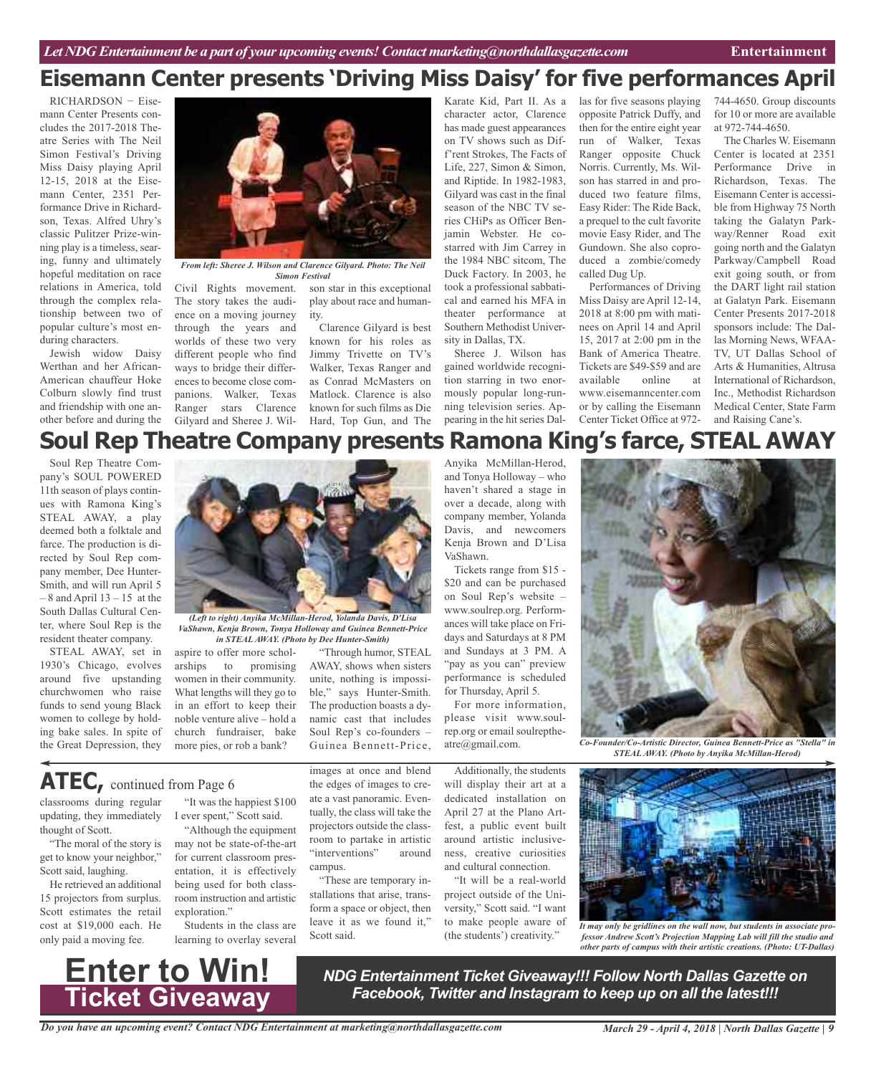### **Eisemann Center presents 'Driving Miss Daisy' for five performances April**

RICHARDSON − Eisemann Center Presents concludes the 2017-2018 Theatre Series with The Neil Simon Festival's Driving Miss Daisy playing April 12-15, 2018 at the Eisemann Center, 2351 Performance Drive in Richardson, Texas. Alfred Uhry's classic Pulitzer Prize-winning play is a timeless, searing, funny and ultimately hopeful meditation on race relations in America, told through the complex relationship between two of popular culture's most enduring characters.

Jewish widow Daisy Werthan and her African-American chauffeur Hoke Colburn slowly find trust and friendship with one another before and during the



*Simon Festival*

Civil Rights movement. The story takes the audience on a moving journey through the years and worlds of these two very different people who find ways to bridge their differences to become close companions. Walker, Texas Ranger stars Clarence Gilyard and Sheree J. Wil-

son star in this exceptional play about race and humanity.

Clarence Gilyard is best known for his roles as Jimmy Trivette on TV's Walker, Texas Ranger and as Conrad McMasters on Matlock. Clarence is also known for such films as Die Hard, Top Gun, and The

Karate Kid, Part II. As a character actor, Clarence has made guest appearances on TV shows such as Diff'rent Strokes, The Facts of Life, 227, Simon & Simon, and Riptide. In 1982-1983, Gilyard was cast in the final season of the NBC TV series CHiPs as Officer Benjamin Webster. He costarred with Jim Carrey in the 1984 NBC sitcom, The Duck Factory. In 2003, he took a professional sabbatical and earned his MFA in theater performance at Southern Methodist University in Dallas, TX.

Sheree J. Wilson has gained worldwide recognition starring in two enormously popular long-running television series. Appearing in the hit series Dallas for five seasons playing opposite Patrick Duffy, and then for the entire eight year run of Walker, Texas Ranger opposite Chuck Norris. Currently, Ms. Wilson has starred in and produced two feature films, Easy Rider: The Ride Back, a prequel to the cult favorite movie Easy Rider, and The Gundown. She also coproduced a zombie/comedy called Dug Up.

Performances of Driving Miss Daisy are April 12-14, 2018 at 8:00 pm with matinees on April 14 and April 15, 2017 at 2:00 pm in the Bank of America Theatre. Tickets are \$49-\$59 and are available online at www.eisemanncenter.com or by calling the Eisemann Center Ticket Office at 972-

744-4650. Group discounts for 10 or more are available at 972-744-4650.

The Charles W. Eisemann Center is located at 2351 Performance Drive in Richardson, Texas. The Eisemann Center is accessible from Highway 75 North taking the Galatyn Parkway/Renner Road exit going north and the Galatyn Parkway/Campbell Road exit going south, or from the DART light rail station at Galatyn Park. Eisemann Center Presents 2017-2018 sponsors include: The Dallas Morning News, WFAA-TV, UT Dallas School of Arts & Humanities, Altrusa International of Richardson, Inc., Methodist Richardson Medical Center, State Farm and Raising Cane's.

### **Soul Rep Theatre Company presents Ramona King's farce, STEAL AWAY**

Soul Rep Theatre Company's SOUL POWERED 11th season of plays continues with Ramona King's STEAL AWAY, a play deemed both a folktale and farce. The production is directed by Soul Rep company member, Dee Hunter-Smith, and will run April 5  $-8$  and April  $13 - 15$  at the South Dallas Cultural Center, where Soul Rep is the resident theater company.

STEAL AWAY, set in 1930's Chicago, evolves around five upstanding churchwomen who raise funds to send young Black women to college by holding bake sales. In spite of the Great Depression, they



*VaShawn, Kenja Brown, Tonya Holloway and Guinea Bennett-Price in STEAL AWAY. (Photo by Dee Hunter-Smith)*

aspire to offer more scholarships to promising women in their community. What lengths will they go to in an effort to keep their noble venture alive – hold a church fundraiser, bake more pies, or rob a bank? "Through humor, STEAL AWAY, shows when sisters unite, nothing is impossible," says Hunter-Smith. The production boasts a dynamic cast that includes Soul Rep's co-founders – Guinea Bennett-Price,

Anyika McMillan-Herod, and Tonya Holloway – who haven't shared a stage in over a decade, along with company member, Yolanda Davis, and newcomers Kenja Brown and D'Lisa VaShawn.

Tickets range from \$15 - \$20 and can be purchased on Soul Rep's website – www.soulrep.org. Performances will take place on Fridays and Saturdays at 8 PM and Sundays at 3 PM. A "pay as you can" preview performance is scheduled for Thursday, April 5.

For more information, please visit www.soulrep.org or email soulreptheatre@gmail.com.



*STEAL AWAY. (Photo by Anyika McMillan-Herod)*



*It may only be gridlines on the wall now, but students in associate professor Andrew Scott's Projection Mapping Lab will fill the studio and other parts of campus with their artistic creations. (Photo: UT-Dallas)*

### **ATEC,** continued from Page <sup>6</sup>

classrooms during regular updating, they immediately thought of Scott.

"The moral of the story is get to know your neighbor," Scott said, laughing.

He retrieved an additional 15 projectors from surplus. Scott estimates the retail cost at \$19,000 each. He only paid a moving fee.

"It was the happiest \$100 I ever spent," Scott said.

"Although the equipment may not be state-of-the-art for current classroom presentation, it is effectively being used for both classroom instruction and artistic exploration."

Students in the class are learning to overlay several images at once and blend the edges of images to create a vast panoramic. Eventually, the class will take the projectors outside the classroom to partake in artistic "interventions" around campus.

"These are temporary installations that arise, transform a space or object, then leave it as we found it," Scott said.

Additionally, the students will display their art at a dedicated installation on April 27 at the Plano Artfest, a public event built around artistic inclusiveness, creative curiosities and cultural connection.

"It will be a real-world project outside of the University," Scott said. "I want to make people aware of (the students') creativity."



*NDG Entertainment Ticket Giveaway!!! Follow North Dallas Gazette on Facebook, Twitter and Instagram to keep up on all the latest!!!*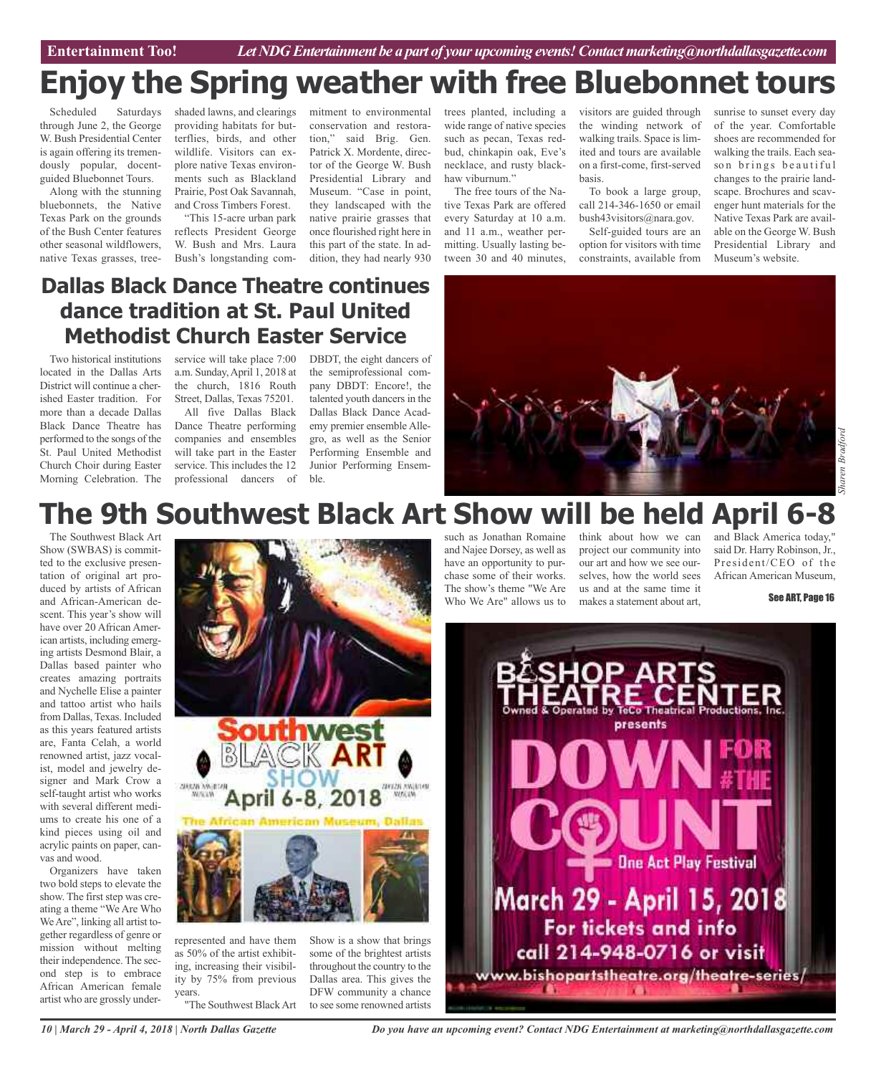**Car Review Entertainment Too!** *Let NDG Entertainment be a part of your upcoming events!Contactmarketing@northdallasgazette.com*

# **Enjoy the Spring weather with free Bluebonnet tours**

Scheduled Saturdays through June 2, the George W. Bush Presidential Center is again offering its tremendously popular, docentguided Bluebonnet Tours.

Along with the stunning bluebonnets, the Native Texas Park on the grounds of the Bush Center features other seasonal wildflowers, native Texas grasses, treeshaded lawns, and clearings providing habitats for butterflies, birds, and other wildlife. Visitors can explore native Texas environments such as Blackland Prairie, Post Oak Savannah, and Cross Timbers Forest.

"This 15-acre urban park reflects President George W. Bush and Mrs. Laura Bush's longstanding commitment to environmental conservation and restoration," said Brig. Gen. Patrick X. Mordente, director of the George W. Bush Presidential Library and Museum. "Case in point, they landscaped with the native prairie grasses that once flourished right here in this part of the state. In addition, they had nearly 930

trees planted, including a wide range of native species such as pecan, Texas redbud, chinkapin oak, Eve's necklace, and rusty blackhaw viburnum."

The free tours of the Native Texas Park are offered every Saturday at 10 a.m. and 11 a.m., weather permitting. Usually lasting between 30 and 40 minutes,

visitors are guided through the winding network of walking trails. Space is limited and tours are available on a first-come, first-served basis.

To book a large group, call 214-346-1650 or email bush43visitors@nara.gov.

Self-guided tours are an option for visitors with time constraints, available from

sunrise to sunset every day of the year. Comfortable shoes are recommended for walking the trails. Each season brings beautiful changes to the prairie landscape. Brochures and scavenger hunt materials for the Native Texas Park are available on the George W. Bush Presidential Library and Museum's website.

### **Dallas Black Dance Theatre continues dance tradition at St. Paul United Methodist Church Easter Service**

Two historical institutions located in the Dallas Arts District will continue a cherished Easter tradition. For more than a decade Dallas Black Dance Theatre has performed to the songs of the St. Paul United Methodist Church Choir during Easter Morning Celebration. The

service will take place 7:00 a.m. Sunday,April 1, 2018 at the church, 1816 Routh Street, Dallas, Texas 75201.

All five Dallas Black Dance Theatre performing companies and ensembles will take part in the Easter service. This includes the 12 professional dancers of

DBDT, the eight dancers of the semiprofessional company DBDT: Encore!, the talented youth dancers in the Dallas Black Dance Academy premier ensemble Allegro, as well as the Senior Performing Ensemble and Junior Performing Ensemble.



# **The 9th Southwest Black Art Show will be held April 6-8**

The Southwest Black Art Show (SWBAS) is committed to the exclusive presentation of original art produced by artists of African and African-American descent. This year's show will have over 20 African American artists, including emerging artists Desmond Blair, a Dallas based painter who creates amazing portraits and Nychelle Elise a painter and tattoo artist who hails from Dallas, Texas. Included as this years featured artists are, Fanta Celah, a world renowned artist, jazz vocalist, model and jewelry designer and Mark Crow a self-taught artist who works with several different mediums to create his one of a kind pieces using oil and acrylic paints on paper, canvas and wood.

Organizers have taken two bold steps to elevate the show. The first step was creating a theme "We Are Who WeAre", linking all artist together regardless of genre or mission without melting their independence. The second step is to embrace African American female artist who are grossly under-



ity by 75% from previous "The Southwest BlackArt Dallas area. This gives the DFW community a chance to see some renowned artists such as Jonathan Romaine and Najee Dorsey, as well as have an opportunity to purchase some of their works. The show's theme "We Are Who We Are" allows us to

think about how we can project our community into our art and how we see ourselves, how the world sees us and at the same time it makes a statement about art,

and Black America today," said Dr. Harry Robinson, Jr., President/CEO of the African American Museum,

See ART, Page 16



years.

*Do you have an upcoming event? Contact NDG Entertainment at marketing@northdallasgazette.com*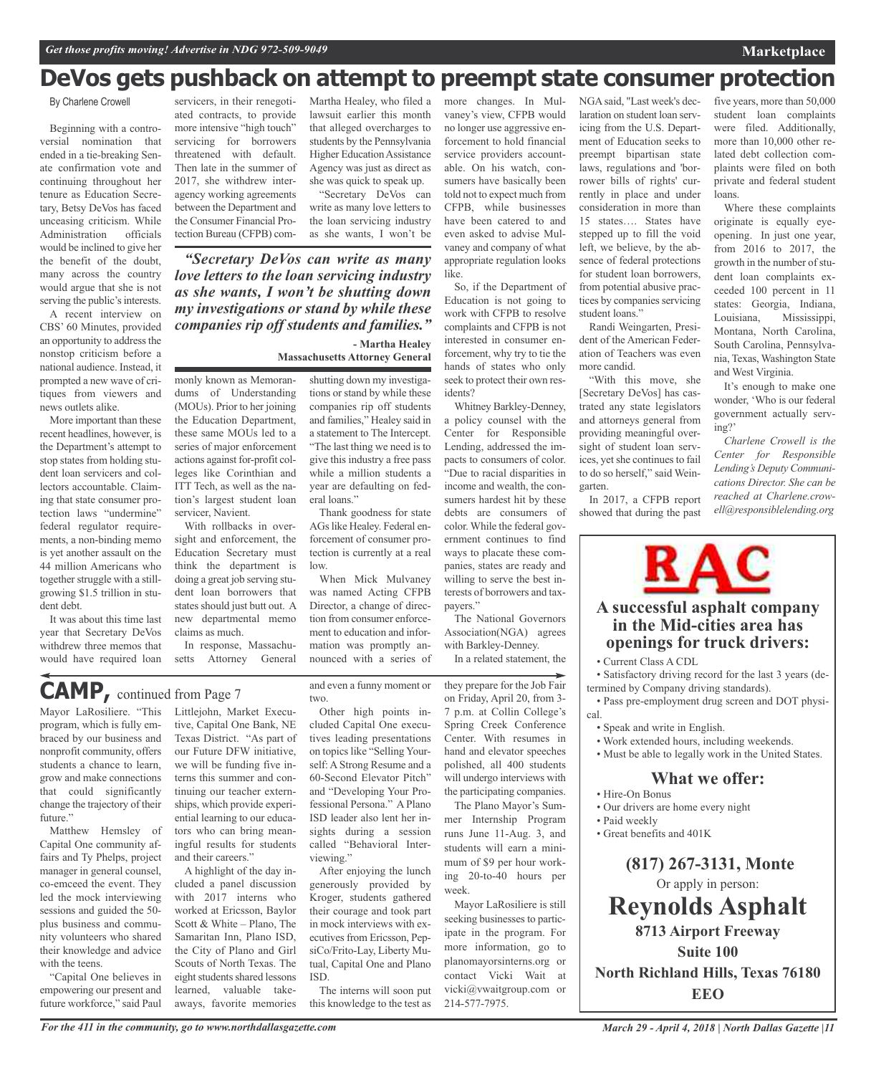### **DeVos gets pushback on attempt to preempt state consumer protection**

By Charlene Crowell

Beginning with a controversial nomination that ended in a tie-breaking Senate confirmation vote and continuing throughout her tenure as Education Secretary, Betsy DeVos has faced unceasing criticism. While Administration officials would be inclined to give her the benefit of the doubt, many across the country would argue that she is not serving the public's interests.

A recent interview on CBS' 60 Minutes, provided an opportunity to address the nonstop criticism before a national audience. Instead, it prompted a new wave of critiques from viewers and news outlets alike.

More important than these recent headlines, however, is the Department's attempt to stop states from holding student loan servicers and collectors accountable. Claiming that state consumer protection laws "undermine" federal regulator requirements, a non-binding memo is yet another assault on the 44 million Americans who together struggle with a stillgrowing \$1.5 trillion in student debt.

It was about this time last year that Secretary DeVos withdrew three memos that would have required loan

servicers, in their renegotiated contracts, to provide more intensive "high touch" servicing for borrowers threatened with default. Then late in the summer of 2017, she withdrew interagency working agreements between the Department and the Consumer Financial Protection Bureau (CFPB) comMartha Healey, who filed a lawsuit earlier this month that alleged overcharges to students by the Pennsylvania Higher Education Assistance Agency was just as direct as she was quick to speak up.

"Secretary DeVos can write as many love letters to the loan servicing industry as she wants, I won't be

*"Secretary DeVos can write as many love letters to the loan servicing industry as she wants, I won't be shutting down my investigations or stand by while these companies rip off students and families."*

> **- Martha Healey Massachusetts Attorney General**

monly known as Memorandums of Understanding (MOUs). Prior to her joining the Education Department, these same MOUs led to a series of major enforcement actions against for-profit colleges like Corinthian and ITT Tech, as well as the nation's largest student loan servicer, Navient.

With rollbacks in oversight and enforcement, the Education Secretary must think the department is doing a great job serving student loan borrowers that states should just butt out. A new departmental memo claims as much.

In response, Massachusetts Attorney General

### **CAMP,** continued from Page <sup>7</sup>

Mayor LaRosiliere. "This program, which is fully embraced by our business and nonprofit community, offers students a chance to learn grow and make connections that could significantly change the trajectory of their future."

Matthew Hemsley of Capital One community affairs and Ty Phelps, project manager in general counsel, co-emceed the event. They led the mock interviewing sessions and guided the 50 plus business and community volunteers who shared their knowledge and advice with the teens.

"Capital One believes in empowering our present and future workforce," said Paul

Littlejohn, Market Executive, Capital One Bank, NE Texas District. "As part of our Future DFW initiative, we will be funding five interns this summer and continuing our teacher externships, which provide experiential learning to our educators who can bring meaningful results for students and their careers."

A highlight of the day included a panel discussion with 2017 interns who worked at Ericsson, Baylor Scott & White – Plano, The Samaritan Inn, Plano ISD, the City of Plano and Girl Scouts of North Texas. The eight students shared lessons learned, valuable takeaways, favorite memories

shutting down my investigations or stand by while these companies rip off students and families," Healey said in a statement to The Intercept. "The last thing we need is to give this industry a free pass while a million students a year are defaulting on federal loans."

Thank goodness for state AGs like Healey. Federal enforcement of consumer protection is currently at a real low.

When Mick Mulvaney was named Acting CFPB Director, a change of direction from consumer enforcement to education and information was promptly announced with a series of

and even a funny moment or

Other high points included Capital One executives leading presentations on topics like "Selling Yourself:A Strong Resume and a 60-Second Elevator Pitch" and "Developing Your Professional Persona." A Plano ISD leader also lent her insights during a session called "Behavioral Inter-

After enjoying the lunch generously provided by Kroger, students gathered their courage and took part in mock interviews with executives from Ericsson, PepsiCo/Frito-Lay, Liberty Mutual, Capital One and Plano

The interns will soon put this knowledge to the test as

two.

viewing."

ISD.

more changes. In Mulvaney's view, CFPB would no longer use aggressive enforcement to hold financial service providers accountable. On his watch, consumers have basically been told not to expect much from CFPB, while businesses have been catered to and even asked to advise Mulvaney and company of what appropriate regulation looks like.

So, if the Department of Education is not going to work with CFPB to resolve complaints and CFPB is not interested in consumer enforcement, why try to tie the hands of states who only seek to protect their own residents?

Whitney Barkley-Denney, a policy counsel with the Center for Responsible Lending, addressed the impacts to consumers of color. "Due to racial disparities in income and wealth, the consumers hardest hit by these debts are consumers of color. While the federal government continues to find ways to placate these companies, states are ready and willing to serve the best interests of borrowers and taxpayers."

The National Governors Association(NGA) agrees with Barkley-Denney.

In a related statement, the

they prepare for the Job Fair on Friday, April 20, from 3- 7 p.m. at Collin College's Spring Creek Conference Center. With resumes in hand and elevator speeches polished, all 400 students will undergo interviews with the participating companies.

The Plano Mayor's Summer Internship Program runs June 11-Aug. 3, and students will earn a minimum of \$9 per hour working 20-to-40 hours per week.

Mayor LaRosiliere is still seeking businesses to participate in the program. For more information, go to planomayorsinterns.org or contact Vicki Wait at vicki@vwaitgroup.com or 214-577-7975.

NGAsaid, "Last week's declaration on student loan servicing from the U.S. Department of Education seeks to preempt bipartisan state laws, regulations and 'borrower bills of rights' currently in place and under consideration in more than 15 states…. States have stepped up to fill the void left, we believe, by the absence of federal protections for student loan borrowers, from potential abusive practices by companies servicing student loans."

Randi Weingarten, President of the American Federation of Teachers was even more candid.

"With this move, she [Secretary DeVos] has castrated any state legislators and attorneys general from providing meaningful oversight of student loan services, yet she continues to fail to do so herself," said Weingarten.

In 2017, a CFPB report showed that during the past

five years, more than 50,000 student loan complaints were filed. Additionally, more than 10,000 other related debt collection complaints were filed on both private and federal student loans.

Where these complaints originate is equally eyeopening. In just one year, from 2016 to 2017, the growth in the number ofstudent loan complaints exceeded 100 percent in 11 states: Georgia, Indiana, Louisiana, Mississippi, Montana, North Carolina, South Carolina, Pennsylvania, Texas, Washington State and West Virginia.

It's enough to make one wonder, 'Who is our federal government actually serving?'

*Charlene Crowell is the Center for Responsible Lending's Deputy Communications Director. She can be reached at Charlene.crowell@responsiblelending.org*



### **A successful asphalt company in the Mid-cities area has openings for truck drivers:**

• Current Class A CDL

• Satisfactory driving record for the last 3 years (determined by Company driving standards).

• Pass pre-employment drug screen and DOT physical.

- Speak and write in English.
- Work extended hours, including weekends.
- Must be able to legally work in the United States.

### **What we offer:**

- Hire-On Bonus
- Our drivers are home every night
- Paid weekly
- Great benefits and 401K

**(817) 267-3131, Monte** Or apply in person: **Reynolds Asphalt 8713 Airport Freeway Suite 100 North Richland Hills, Texas 76180 EEO**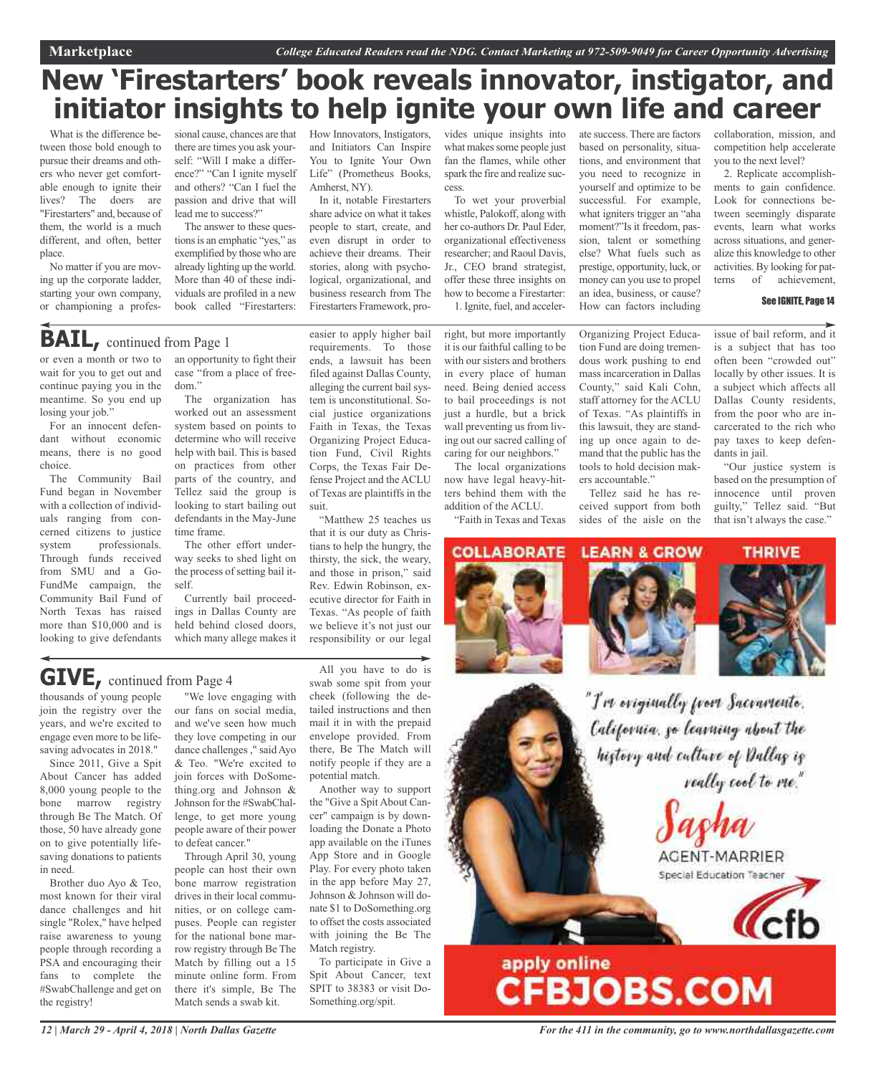### **New 'Firestarters' book reveals innovator, instigator, and initiator insights to help ignite your own life and career**

What is the difference between those bold enough to pursue their dreams and others who never get comfortable enough to ignite their lives? The doers are "Firestarters" and, because of them, the world is a much different, and often, better place.

No matter if you are moving up the corporate ladder, starting your own company, or championing a professional cause, chances are that there are times you ask yourself: "Will I make a difference?" "Can I ignite myself and others? "Can I fuel the passion and drive that will lead me to success?"

The answer to these questions is an emphatic "yes," as exemplified by those who are already lighting up the world. More than 40 of these individuals are profiled in a new book called "Firestarters: How Innovators, Instigators, and Initiators Can Inspire You to Ignite Your Own Life" (Prometheus Books, Amherst, NY).

In it, notable Firestarters share advice on what it takes people to start, create, and even disrupt in order to achieve their dreams. Their stories, along with psychological, organizational, and business research from The Firestarters Framework, provides unique insights into what makes some people just fan the flames, while other spark the fire and realize success.

To wet your proverbial whistle, Palokoff, along with her co-authors Dr. Paul Eder, organizational effectiveness researcher; and Raoul Davis, Jr., CEO brand strategist, offer these three insights on how to become a Firestarter: 1. Ignite, fuel, and accelerate success. There are factors based on personality, situations, and environment that you need to recognize in yourself and optimize to be successful. For example, what igniters trigger an "aha moment?"Is it freedom, passion, talent or something else? What fuels such as prestige, opportunity, luck, or money can you use to propel an idea, business, or cause?

collaboration, mission, and competition help accelerate you to the next level?

2. Replicate accomplishments to gain confidence. Look for connections between seemingly disparate events, learn what works across situations, and generalize this knowledge to other activities. By looking for patterns of achievement,

issue of bail reform, and it is a subject that has too often been "crowded out" locally by other issues. It is a subject which affects all Dallas County residents, from the poor who are incarcerated to the rich who pay taxes to keep defen-

#### See IGNITE, Page 14

**BAIL,** continued from Page <sup>1</sup>

or even a month or two to wait for you to get out and continue paying you in the meantime. So you end up losing your job."

For an innocent defendant without economic means, there is no good choice.

The Community Bail Fund began in November with a collection of individuals ranging from concerned citizens to justice system professionals. Through funds received from SMU and a Go-FundMe campaign, the Community Bail Fund of North Texas has raised more than \$10,000 and is looking to give defendants

an opportunity to fight their case "from a place of freedom."

The organization has worked out an assessment system based on points to determine who will receive help with bail. This is based on practices from other parts of the country, and Tellez said the group is looking to start bailing out defendants in the May-June time frame.

The other effort underway seeks to shed light on the process of setting bail itself.

Currently bail proceedings in Dallas County are held behind closed doors, which many allege makes it

easier to apply higher bail requirements. To those ends, a lawsuit has been filed against Dallas County, alleging the current bail system is unconstitutional. Social justice organizations Faith in Texas, the Texas Organizing Project Education Fund, Civil Rights Corps, the Texas Fair Defense Project and the ACLU of Texas are plaintiffs in the suit.

"Matthew 25 teaches us that it is our duty as Christians to help the hungry, the thirsty, the sick, the weary, and those in prison," said Rev. Edwin Robinson, executive director for Faith in Texas. "As people of faith we believe it's not just our responsibility or our legal

right, but more importantly it is our faithful calling to be with our sisters and brothers in every place of human need. Being denied access to bail proceedings is not just a hurdle, but a brick wall preventing us from living out our sacred calling of caring for our neighbors."

The local organizations now have legal heavy-hitters behind them with the addition of the ACLU.

"Faith in Texas and Texas

Organizing Project Education Fund are doing tremendous work pushing to end mass incarceration in Dallas County," said Kali Cohn, staff attorney for the ACLU of Texas. "As plaintiffs in this lawsuit, they are standing up once again to demand that the public has the tools to hold decision mak-How can factors including

ers accountable." Tellez said he has received support from both sides of the aisle on the

"Our justice system is based on the presumption of innocence until proven guilty," Tellez said. "But that isn't always the case."

dants in jail.









"I've originally from Sacramento. California, go learning about the history and culture of Dallag is really cool to me."

AGENT-MARRIER Special Education Teacher



# apply online<br>CFBJOBS.COM

### thousands of young people **GIVE,** continued from Page <sup>4</sup>

join the registry over the years, and we're excited to engage even more to be lifesaving advocates in 2018."

Since 2011, Give a Spit About Cancer has added 8,000 young people to the bone marrow registry through Be The Match. Of those, 50 have already gone on to give potentially lifesaving donations to patients in need.

Brother duo Ayo & Teo, most known for their viral dance challenges and hit single "Rolex," have helped raise awareness to young people through recording a PSA and encouraging their fans to complete the #SwabChallenge and get on the registry!

"We love engaging with our fans on social media, and we've seen how much they love competing in our dance challenges ," said Ayo & Teo. "We're excited to join forces with DoSomething.org and Johnson & Johnson for the #SwabChallenge, to get more young people aware of their power to defeat cancer."

Through April 30, young people can host their own bone marrow registration drives in their local communities, or on college campuses. People can register for the national bone marrow registry through Be The Match by filling out a 15 minute online form. From there it's simple, Be The Match sends a swab kit.

All you have to do is swab some spit from your cheek (following the detailed instructions and then mail it in with the prepaid envelope provided. From there, Be The Match will notify people if they are a potential match.

Another way to support the "Give a Spit About Cancer" campaign is by downloading the Donate a Photo app available on the iTunes App Store and in Google Play. For every photo taken in the app before May 27, Johnson & Johnson will donate \$1 to DoSomething.org to offset the costs associated with joining the Be The Match registry.

To participate in Give a Spit About Cancer, text SPIT to 38383 or visit Do-Something.org/spit.

*For the 411 in the community, go to www.northdallasgazette.com*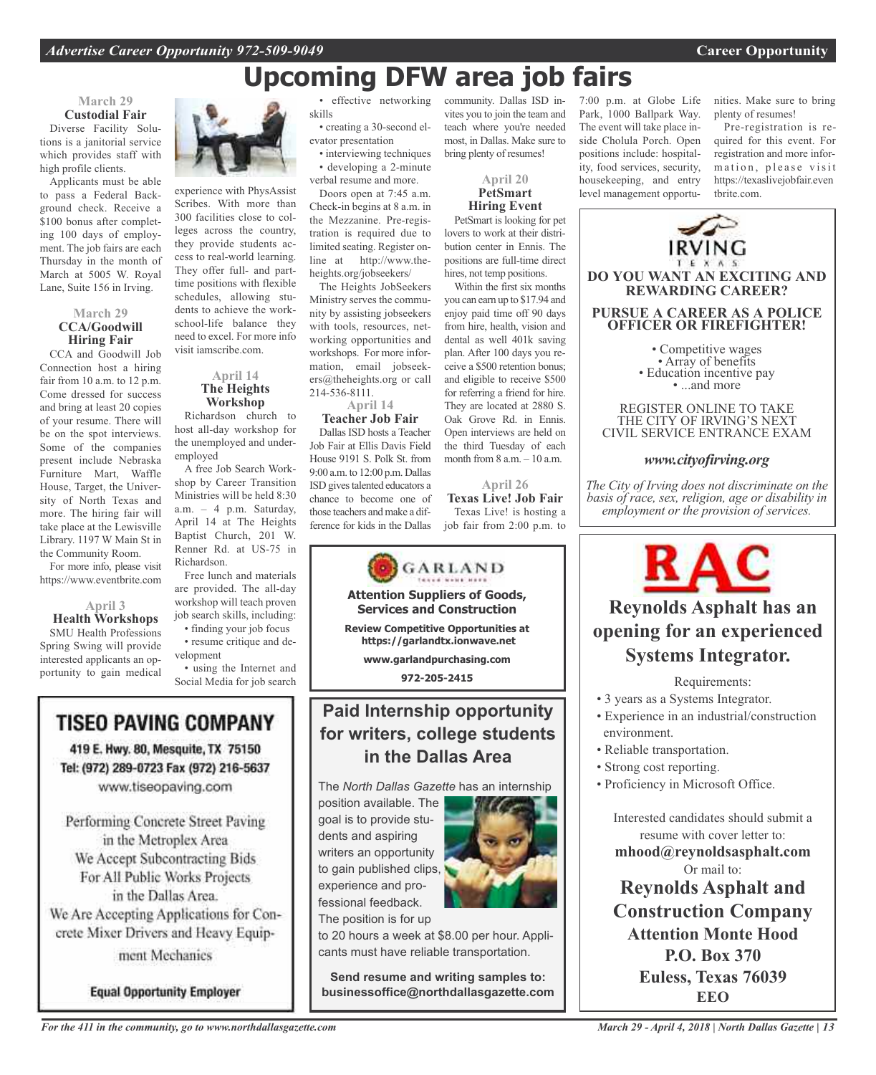# **Upcoming DFW area job fairs**

#### **March 29 Custodial Fair**

Diverse Facility Solutions is a janitorial service which provides staff with high profile clients.

Applicants must be able to pass a Federal Background check. Receive a \$100 bonus after completing 100 days of employment. The job fairs are each Thursday in the month of March at 5005 W. Royal Lane, Suite 156 in Irving.

### **March 29 CCA/Goodwill Hiring Fair**

CCA and Goodwill Job Connection host a hiring fair from 10 a.m. to 12 p.m. Come dressed for success and bring at least 20 copies of your resume. There will be on the spot interviews. Some of the companies present include Nebraska Furniture Mart, Waffle House, Target, the University of North Texas and more. The hiring fair will take place at the Lewisville Library. 1197 W Main St in the Community Room.

For more info, please visit https://www.eventbrite.com

#### **April 3**

**Health Workshops** SMU Health Professions Spring Swing will provide interested applicants an opportunity to gain medical



experience with PhysAssist Scribes. With more than 300 facilities close to colleges across the country, they provide students access to real-world learning. They offer full- and parttime positions with flexible schedules, allowing students to achieve the workschool-life balance they need to excel. For more info visit iamscribe.com.

#### **April 14 The Heights Workshop**

Richardson church to host all-day workshop for the unemployed and underemployed

A free Job Search Workshop by Career Transition Ministries will be held 8:30 a.m. – 4 p.m. Saturday, April 14 at The Heights Baptist Church, 201 W. Renner Rd. at US-75 in Richardson.

Free lunch and materials are provided. The all-day workshop will teach proven job search skills, including:

• finding your job focus • resume critique and development

• using the Internet and Social Media for job search

### **TISEO PAVING COMPANY**

419 E. Hwy. 80, Mesquite, TX 75150 Tel: (972) 289-0723 Fax (972) 216-5637

www.tiseopaving.com

Performing Concrete Street Paving in the Metroplex Area We Accept Subcontracting Bids For All Public Works Projects in the Dallas Area. We Are Accepting Applications for Concrete Mixer Drivers and Heavy Equipment Mechanics

**Equal Opportunity Employer** 

effective networking skills

• creating a 30-second elevator presentation

• interviewing techniques • developing a 2-minute verbal resume and more.

Doors open at 7:45 a.m. Check-in begins at 8 a.m. in the Mezzanine. Pre-registration is required due to limited seating. Register online at http://www.theheights.org/jobseekers/

The Heights JobSeekers Ministry serves the community by assisting jobseekers with tools, resources, networking opportunities and workshops. For more information, email jobseekers@theheights.org or call 214-536-8111.

#### **April 14 Teacher Job Fair**

Dallas ISD hosts a Teacher Job Fair at Ellis Davis Field House 9191 S. Polk St. from 9:00 a.m. to 12:00 p.m. Dallas ISD gives talented educators a chance to become one of those teachers and make a difference for kids in the Dallas

community. Dallas ISD invites you to join the team and teach where you're needed most, in Dallas. Make sure to bring plenty of resumes!

> **April 20 PetSmart Hiring Event**

PetSmart is looking for pet lovers to work at their distribution center in Ennis. The positions are full-time direct hires, not temp positions.

Within the first six months you can earn up to \$17.94 and enjoy paid time off 90 days from hire, health, vision and dental as well 401k saving plan. After 100 days you receive a \$500 retention bonus; and eligible to receive \$500 for referring a friend for hire. They are located at 2880 S. Oak Grove Rd. in Ennis. Open interviews are held on the third Tuesday of each month from 8 a.m. – 10 a.m.

**April 26 Texas Live! Job Fair** Texas Live! is hosting a job fair from 2:00 p.m. to



position available. The goal is to provide students and aspiring writers an opportunity to gain published clips, experience and professional feedback.

The position is for up

to 20 hours a week at \$8.00 per hour. Applicants must have reliable transportation.

**Send resume and writing samples to: businessoffice@northdallasgazette.com** 7:00 p.m. at Globe Life Park, 1000 Ballpark Way. The event will take place inside Cholula Porch. Open positions include: hospitality, food services, security, housekeeping, and entry level management opportunities. Make sure to bring plenty of resumes!

Pre-registration is required for this event. For registration and more information, please visit https://texaslivejobfair.even tbrite.com.





### **Reynolds Asphalt has an opening for an experienced Systems Integrator.**

### Requirements:

- 3 years as a Systems Integrator.
- Experience in an industrial/construction environment.
- Reliable transportation.
- Strong cost reporting.
- Proficiency in Microsoft Office.

Interested candidates should submit a resume with cover letter to: **mhood@reynoldsasphalt.com** Or mail to: **Reynolds Asphalt and Construction Company Attention Monte Hood P.O. Box 370 Euless, Texas 76039 EEO**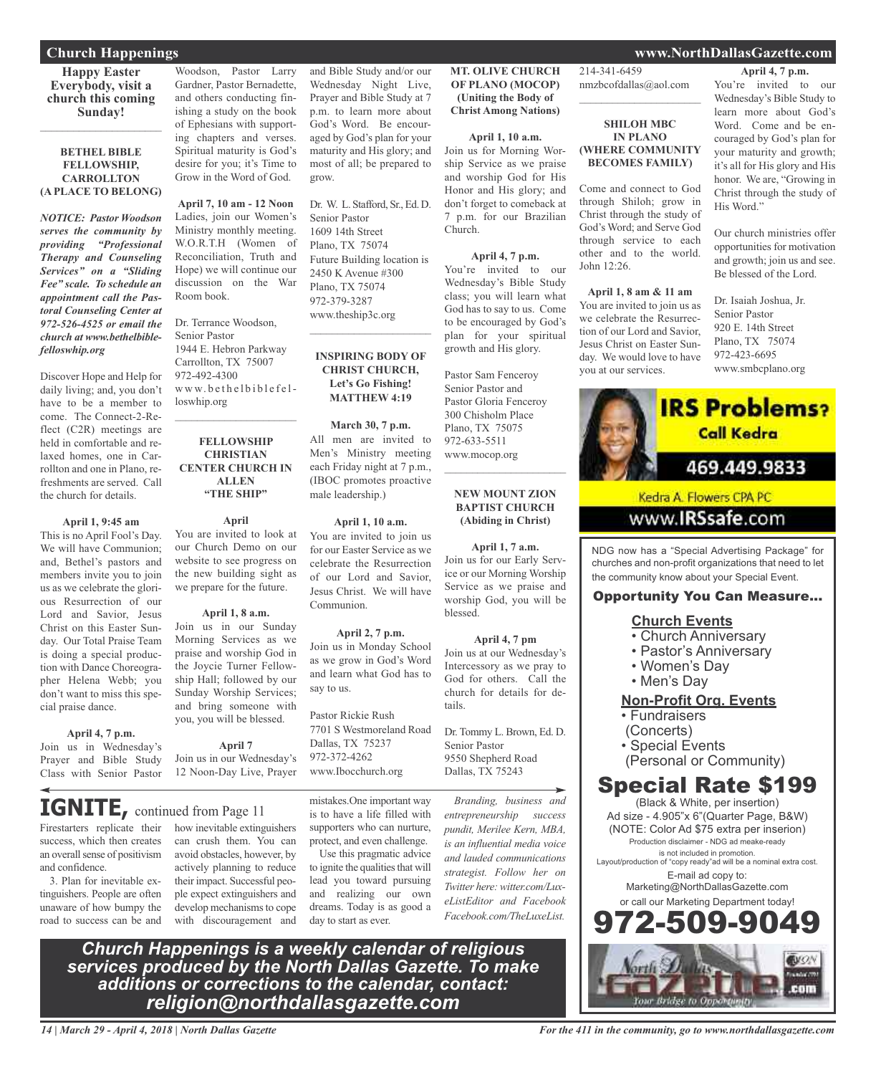**Happy Easter Everybody, visit a church this coming Sunday!**

 $\mathcal{L}_\text{max}$  , which is a set of the set of the set of the set of the set of the set of the set of the set of the set of the set of the set of the set of the set of the set of the set of the set of the set of the set of

#### **BETHEL BIBLE FELLOWSHIP, CARROLLTON (A PLACE TO BELONG)**

*NOTICE: Pastor Woodson serves the community by providing "Professional Therapy and Counseling Services" on a "Sliding Fee" scale. To schedule an appointment call the Pastoral Counseling Center at 972-526-4525 or email the church at www.bethelbiblefelloswhip.org*

Discover Hope and Help for daily living; and, you don't have to be a member to come. The Connect-2-Reflect (C2R) meetings are held in comfortable and relaxed homes, one in Carrollton and one in Plano, refreshments are served. Call the church for details.

#### **April 1, 9:45 am**

This is no April Fool's Day. We will have Communion; and, Bethel's pastors and members invite you to join us as we celebrate the glorious Resurrection of our Lord and Savior, Jesus Christ on this Easter Sunday. Our Total Praise Team is doing a special production with Dance Choreographer Helena Webb; you don't want to miss this special praise dance.

#### **April 4, 7 p.m.**

Join us in Wednesday's Prayer and Bible Study Class with Senior Pastor

### **IGNITE,** continued from Page <sup>11</sup>

Firestarters replicate their success, which then creates an overall sense of positivism and confidence.

3. Plan for inevitable extinguishers. People are often unaware of how bumpy the road to success can be and

Woodson, Pastor Larry Gardner, Pastor Bernadette, and others conducting finishing a study on the book of Ephesians with supporting chapters and verses. Spiritual maturity is God's desire for you; it's Time to Grow in the Word of God.

**April 7, 10 am - 12 Noon** Ladies, join our Women's Ministry monthly meeting. W.O.R.T.H (Women of Reconciliation, Truth and Hope) we will continue our discussion on the War Room book.

Dr. Terrance Woodson, Senior Pastor 1944 E. Hebron Parkway Carrollton, TX 75007 972-492-4300 www.bethelbiblefelloswhip.org

#### **FELLOWSHIP CHRISTIAN CENTER CHURCH IN ALLEN "THE SHIP"**

 $\mathcal{L}_\text{max}$  and  $\mathcal{L}_\text{max}$  and  $\mathcal{L}_\text{max}$ 

**April**

You are invited to look at our Church Demo on our website to see progress on the new building sight as we prepare for the future.

**April 1, 8 a.m.**

Join us in our Sunday Morning Services as we praise and worship God in the Joycie Turner Fellowship Hall; followed by our Sunday Worship Services; and bring someone with you, you will be blessed.

**April 7** Join us in our Wednesday's

how inevitable extinguishers can crush them. You can avoid obstacles, however, by actively planning to reduce their impact. Successful people expect extinguishers and develop mechanisms to cope with discouragement and mistakes.One important way is to have a life filled with supporters who can nurture, protect, and even challenge.

Use this pragmatic advice to ignite the qualities that will lead you toward pursuing and realizing our own dreams. Today is as good a day to start as ever.

**MT. OLIVE CHURCH OF PLANO (MOCOP) (Uniting the Body of Christ Among Nations)**

214-341-6459

John 12:26.

nmzbcofdallas@aol.com  $\mathcal{L}$  , and the set of the set of the set of the set of the set of the set of the set of the set of the set of the set of the set of the set of the set of the set of the set of the set of the set of the set of the set

**SHILOH MBC IN PLANO (WHERE COMMUNITY BECOMES FAMILY)**

Come and connect to God through Shiloh; grow in Christ through the study of God's Word; and Serve God through service to each other and to the world.

**April 1, 8 am & 11 am** You are invited to join us as we celebrate the Resurrection of our Lord and Savior, Jesus Christ on Easter Sunday. We would love to have you at our services.

and Bible Study and/or our Wednesday Night Live, Prayer and Bible Study at 7 p.m. to learn more about God's Word. Be encouraged by God's plan for your maturity and His glory; and most of all; be prepared to

Dr. W. L. Stafford, Sr., Ed. D.

Future Building location is 2450 K Avenue #300 Plano, TX 75074 972-379-3287 www.theship3c.org

 $\overline{\phantom{a}}$  , which is a set of the set of the set of the set of the set of the set of the set of the set of the set of the set of the set of the set of the set of the set of the set of the set of the set of the set of th

**INSPIRING BODY OF CHRIST CHURCH, Let's Go Fishing! MATTHEW 4:19**

**March 30, 7 p.m.** All men are invited to Men's Ministry meeting each Friday night at 7 p.m., (IBOC promotes proactive

**April 1, 10 a.m.** You are invited to join us for our Easter Service as we celebrate the Resurrection of our Lord and Savior, Jesus Christ. We will have

**April 2, 7 p.m.** Join us in Monday School as we grow in God's Word and learn what God has to

male leadership.)

Communion.

grow.

Senior Pastor 1609 14th Street Plano, TX 75074

**April 1, 10 a.m.** Join us for Morning Worship Service as we praise and worship God for His Honor and His glory; and don't forget to comeback at 7 p.m. for our Brazilian

Church.

**April 4, 7 p.m.** You're invited to our Wednesday's Bible Study class; you will learn what God has to say to us. Come to be encouraged by God's plan for your spiritual growth and His glory.

Pastor Sam Fenceroy Senior Pastor and Pastor Gloria Fenceroy 300 Chisholm Place Plano, TX 75075 972-633-5511 www.mocop.org  $\mathcal{L}=\mathcal{L}^{\mathcal{L}}$  , where  $\mathcal{L}^{\mathcal{L}}$  , we have the set of the set of the set of the set of the set of the set of the set of the set of the set of the set of the set of the set of the set of the set of the set of

#### **NEW MOUNT ZION BAPTIST CHURCH (Abiding in Christ)**

**April 1, 7 a.m.**

Join us for our Early Service or our Morning Worship Service as we praise and worship God, you will be blessed.

**April 4, 7 pm**

Join us at our Wednesday's Intercessory as we pray to God for others. Call the church for details for de-

Dr. Tommy L. Brown, Ed. D. Senior Pastor 9550 Shepherd Road Dallas, TX 75243

*Branding, business and entrepreneurship success pundit, Merilee Kern, MBA, is an influential media voice and lauded communications strategist. Follow her on Twitter here: witter.com/LuxeListEditor and Facebook Facebook.com/TheLuxeList.*

*Church Happenings is a weekly calendar of religious services produced by the North Dallas Gazette. To make additions or corrections to the calendar, contact: religion@northdallasgazette.com*

*14 | March 29 - April 4, 2018 | North Dallas Gazette*

### **Church Happenings www.NorthDallasGazette.com**

**April 4, 7 p.m.**

You're invited to our Wednesday's Bible Study to learn more about God's Word. Come and be encouraged by God's plan for your maturity and growth; it's all for His glory and His honor. We are, "Growing in Christ through the study of His Word."

Our church ministries offer opportunities for motivation and growth; join us and see. Be blessed of the Lord.

Dr. Isaiah Joshua, Jr. Senior Pastor 920 E. 14th Street Plano, TX 75074 972-423-6695 www.smbcplano.org



NDG now has a "Special Advertising Package" for churches and non-profit organizations that need to let the community know about your Special Event.

### Opportunity You Can Measure...

### **Church Events**

- Church Anniversary
- Pastor's Anniversary
- Women's Day
- Men's Day

### **Non-Profit Org. Events**

• Fundraisers

- (Concerts)
- Special Events (Personal or Community)

### Special Rate \$199

(Black & White, per insertion) Ad size - 4.905"x 6"(Quarter Page, B&W) (NOTE: Color Ad \$75 extra per inserion) Production disclaimer - NDG ad meake-ready is not included in promotion. Layout/production of "copy ready"ad will be a nominal extra cost. E-mail ad copy to: Marketing@NorthDallasGazette.com or call our Marketing Department today! 2-509-90



*For the 411 in the community, go to www.northdallasgazette.com*

www.Ibocchurch.org tails.

### say to us. Pastor Rickie Rush 7701 S Westmoreland Road Dallas, TX 75237 972-372-4262

12 Noon-Day Live, Prayer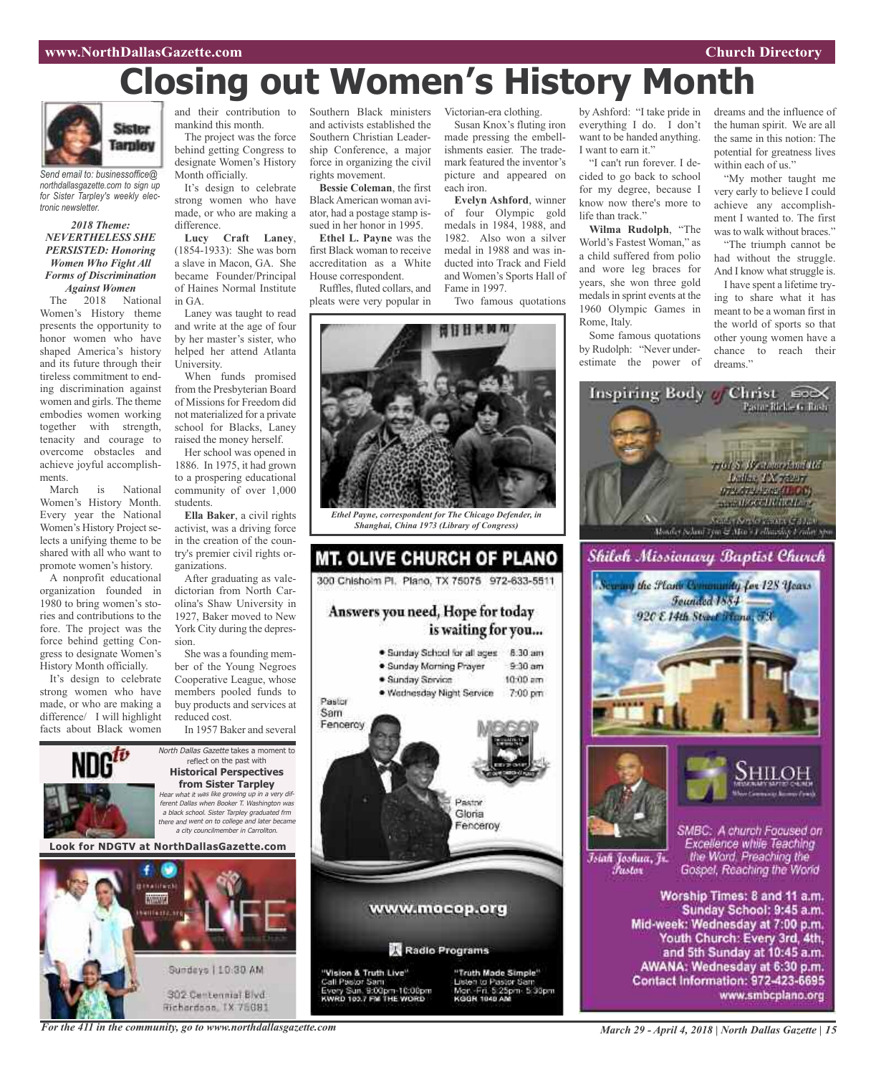# **Closing out Women's History Month**



*Send email to: businessoffice@ northdallasgazette.com to sign up for Sister Tarpley's weekly electronic newsletter.*

#### *2018 Theme: NEVERTHELESS SHE PERSISTED: Honoring Women Who Fight All Forms of Discrimination Against Women*

The 2018 National Women's History theme presents the opportunity to honor women who have shaped America's history and its future through their tireless commitment to ending discrimination against women and girls. The theme embodies women working together with strength, tenacity and courage to overcome obstacles and achieve joyful accomplishments.

March is National Women's History Month. Every year the National Women's History Project selects a unifying theme to be shared with all who want to promote women's history.

A nonprofit educational organization founded in 1980 to bring women's stories and contributions to the fore. The project was the force behind getting Congress to designate Women's History Month officially.

It's design to celebrate strong women who have made, or who are making a difference/ I will highlight facts about Black women

and their contribution to mankind this month.

The project was the force behind getting Congress to designate Women's History Month officially.

It's design to celebrate strong women who have made, or who are making a difference.

**Lucy Craft Laney**, (1854-1933): She was born a slave in Macon, GA. She became Founder/Principal of Haines Normal Institute in GA.

Laney was taught to read and write at the age of four by her master's sister, who helped her attend Atlanta University.

When funds promised from the Presbyterian Board of Missions for Freedom did not materialized for a private school for Blacks, Laney raised the money herself.

Her school was opened in 1886. In 1975, it had grown to a prospering educational community of over 1,000 students.

**Ella Baker**, a civil rights activist, was a driving force in the creation of the country's premier civil rights organizations.

After graduating as valedictorian from North Carolina's Shaw University in 1927, Baker moved to New York City during the depression.

She was a founding member of the Young Negroes Cooperative League, whose members pooled funds to buy products and services at reduced cost. In 1957 Baker and several

North Dallas Gazette takes a moment to reflect on the past with **Historical Perspectives from Sister Tarpley** Hear what it was like growing up in <sup>a</sup> very different Dallas when Booker T. Washington was <sup>a</sup> black school. Sister Tarpley graduated frm there and went on to college and later became <sup>a</sup> city councilmember in Carrollton. **Look for NDGTV at NorthDallasGazette.com**



Southern Black ministers and activists established the Southern Christian Leadership Conference, a major force in organizing the civil rights movement.

**Bessie Coleman**, the first BlackAmerican woman aviator, had a postage stamp issued in her honor in 1995.

**Ethel L. Payne** was the first Black woman to receive accreditation as a White House correspondent. Ruffles, fluted collars, and

pleats were very popular in

Victorian-era clothing. Susan Knox's fluting iron

made pressing the embellishments easier. The trademark featured the inventor's picture and appeared on each iron.

**Evelyn Ashford**, winner of four Olympic gold medals in 1984, 1988, and 1982. Also won a silver medal in 1988 and was inducted into Track and Field and Women's Sports Hall of Fame in 1997.

Two famous quotations



cided to go back to school for my degree, because I know now there's more to life than track."

**Wilma Rudolph**, "The World's Fastest Woman," as a child suffered from polio and wore leg braces for years, she won three gold medals in sprint events at the 1960 Olympic Games in Rome, Italy.

Some famous quotations by Rudolph: "Never underestimate the power of dreams and the influence of the human spirit. We are all the same in this notion: The potential for greatness lives within each of us."

"My mother taught me very early to believe I could achieve any accomplishment I wanted to. The first was to walk without braces."

"The triumph cannot be had without the struggle. And I know what struggle is.

I have spent a lifetime trying to share what it has meant to be a woman first in the world of sports so that other young women have a chance to reach their dreams."





*Shanghai, China 1973 (Library of Congress)*

### **MT. OLIVE CHURCH OF PLANO** 300 Chishoim Pl. Plano, TX 75075 972-633-5511 Answers you need, Hope for today is waiting for you...